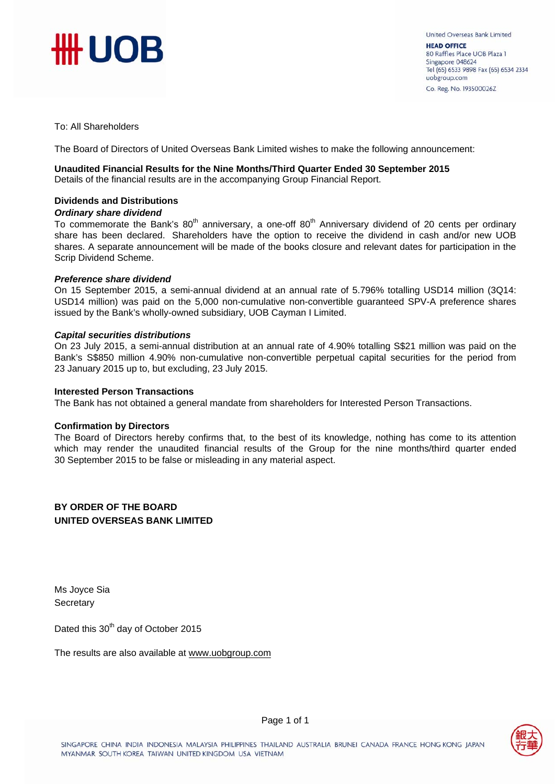

To: All Shareholders

The Board of Directors of United Overseas Bank Limited wishes to make the following announcement:

#### **Unaudited Financial Results for the Nine Months/Third Quarter Ended 30 September 2015**

Details of the financial results are in the accompanying Group Financial Report.

#### **Dividends and Distributions**

#### *Ordinary share dividend*

To commemorate the Bank's  $80<sup>th</sup>$  anniversary, a one-off  $80<sup>th</sup>$  Anniversary dividend of 20 cents per ordinary share has been declared. Shareholders have the option to receive the dividend in cash and/or new UOB shares. A separate announcement will be made of the books closure and relevant dates for participation in the Scrip Dividend Scheme.

#### *Preference share dividend*

On 15 September 2015, a semi-annual dividend at an annual rate of 5.796% totalling USD14 million (3Q14: USD14 million) was paid on the 5,000 non-cumulative non-convertible guaranteed SPV-A preference shares issued by the Bank's wholly-owned subsidiary, UOB Cayman I Limited.

#### *Capital securities distributions*

On 23 July 2015, a semi-annual distribution at an annual rate of 4.90% totalling S\$21 million was paid on the Bank's S\$850 million 4.90% non-cumulative non-convertible perpetual capital securities for the period from 23 January 2015 up to, but excluding, 23 July 2015.

#### **Interested Person Transactions**

The Bank has not obtained a general mandate from shareholders for Interested Person Transactions.

#### **Confirmation by Directors**

The Board of Directors hereby confirms that, to the best of its knowledge, nothing has come to its attention which may render the unaudited financial results of the Group for the nine months/third quarter ended 30 September 2015 to be false or misleading in any material aspect.

**BY ORDER OF THE BOARD UNITED OVERSEAS BANK LIMITED** 

Ms Joyce Sia **Secretary** 

Dated this 30<sup>th</sup> day of October 2015

The results are also available at www.uobgroup.com

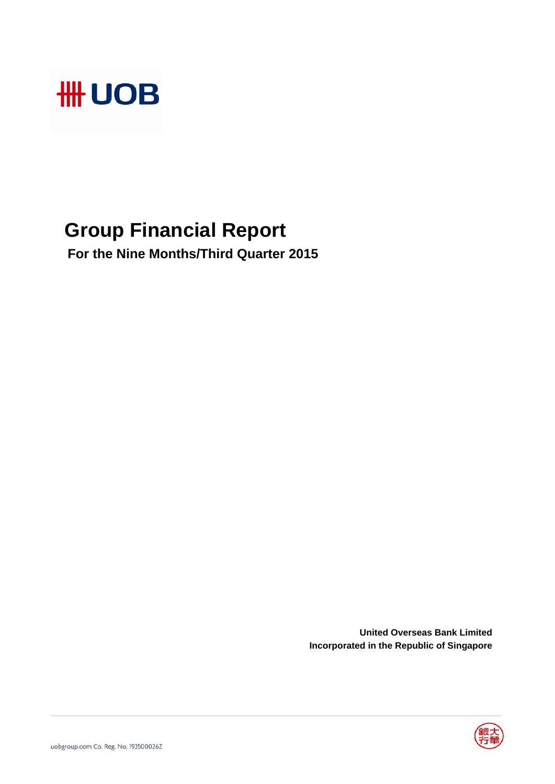

# **Group Financial Report**

 **For the Nine Months/Third Quarter 2015**

**United Overseas Bank Limited Incorporated in the Republic of Singapore**

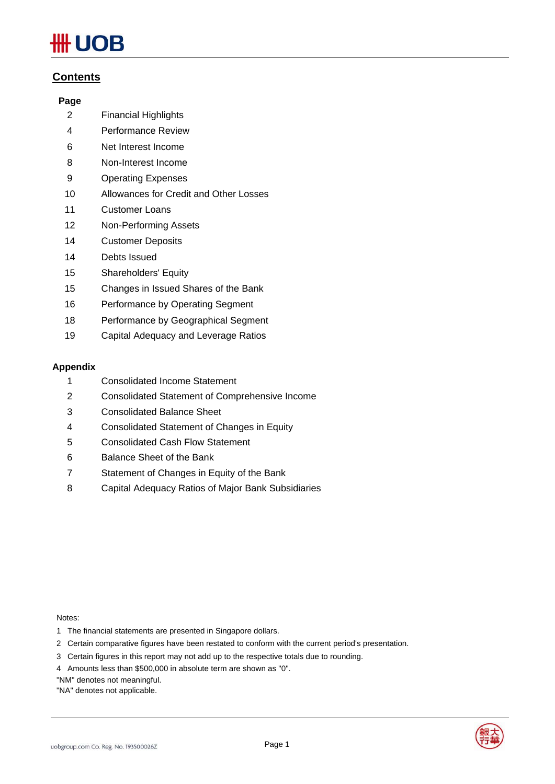# ₩ UOB

### **Contents**

### **Page**

- 2 Financial Highlights
- 4 Performance Review
- 6 Net Interest Income
- 8 Non-Interest Income
- 9 Operating Expenses
- 10 Allowances for Credit and Other Losses
- 11 Customer Loans
- 12 Non-Performing Assets
- 14 Customer Deposits
- 14 Debts Issued
- 15 Shareholders' Equity
- 15 Changes in Issued Shares of the Bank
- 16 Performance by Operating Segment
- 18 Performance by Geographical Segment
- 19 Capital Adequacy and Leverage Ratios

#### **Appendix**

- 1 Consolidated Income Statement
- 2 Consolidated Statement of Comprehensive Income
- 3 Consolidated Balance Sheet
- 4 Consolidated Statement of Changes in Equity
- 5 Consolidated Cash Flow Statement
- 6 Balance Sheet of the Bank
- 7 Statement of Changes in Equity of the Bank
- 8 Capital Adequacy Ratios of Major Bank Subsidiaries

Notes:

- 1 The financial statements are presented in Singapore dollars.
- 2 Certain comparative figures have been restated to conform with the current period's presentation.
- 3 Certain figures in this report may not add up to the respective totals due to rounding.
- 4 Amounts less than \$500,000 in absolute term are shown as "0".

"NM" denotes not meaningful.

"NA" denotes not applicable.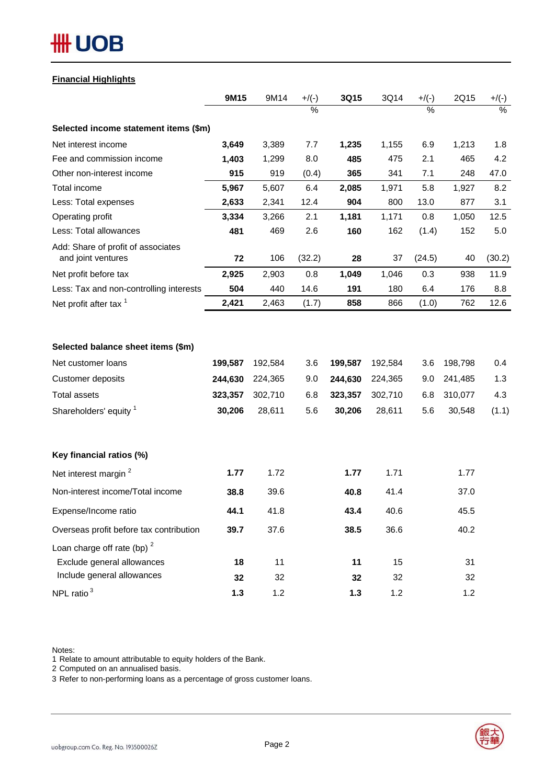# **#H UOB**

### **Financial Highlights**

|                                                                                                                                | 9M15                                    | 9M14                                    | $+$ /(-)                 | 3Q15                                    | 3Q14                                    | $+$ /(-)                 | 2Q15                                    | $+/(-)$                    |
|--------------------------------------------------------------------------------------------------------------------------------|-----------------------------------------|-----------------------------------------|--------------------------|-----------------------------------------|-----------------------------------------|--------------------------|-----------------------------------------|----------------------------|
|                                                                                                                                |                                         |                                         | $\frac{0}{2}$            |                                         |                                         | $\frac{0}{2}$            |                                         | $\%$                       |
| Selected income statement items (\$m)                                                                                          |                                         |                                         |                          |                                         |                                         |                          |                                         |                            |
| Net interest income                                                                                                            | 3,649                                   | 3,389                                   | 7.7                      | 1,235                                   | 1,155                                   | 6.9                      | 1,213                                   | 1.8                        |
| Fee and commission income                                                                                                      | 1,403                                   | 1,299                                   | 8.0                      | 485                                     | 475                                     | 2.1                      | 465                                     | 4.2                        |
| Other non-interest income                                                                                                      | 915                                     | 919                                     | (0.4)                    | 365                                     | 341                                     | 7.1                      | 248                                     | 47.0                       |
| Total income                                                                                                                   | 5,967                                   | 5,607                                   | 6.4                      | 2,085                                   | 1,971                                   | 5.8                      | 1,927                                   | 8.2                        |
| Less: Total expenses                                                                                                           | 2,633                                   | 2,341                                   | 12.4                     | 904                                     | 800                                     | 13.0                     | 877                                     | 3.1                        |
| Operating profit                                                                                                               | 3,334                                   | 3,266                                   | 2.1                      | 1,181                                   | 1,171                                   | 0.8                      | 1,050                                   | 12.5                       |
| Less: Total allowances                                                                                                         | 481                                     | 469                                     | 2.6                      | 160                                     | 162                                     | (1.4)                    | 152                                     | 5.0                        |
| Add: Share of profit of associates<br>and joint ventures                                                                       | 72                                      | 106                                     | (32.2)                   | 28                                      | 37                                      | (24.5)                   | 40                                      | (30.2)                     |
| Net profit before tax                                                                                                          | 2,925                                   | 2,903                                   | 0.8                      | 1,049                                   | 1,046                                   | 0.3                      | 938                                     | 11.9                       |
| Less: Tax and non-controlling interests                                                                                        | 504                                     | 440                                     | 14.6                     | 191                                     | 180                                     | 6.4                      | 176                                     | 8.8                        |
| Net profit after tax <sup>1</sup>                                                                                              | 2,421                                   | 2,463                                   | (1.7)                    | 858                                     | 866                                     | (1.0)                    | 762                                     | 12.6                       |
| Selected balance sheet items (\$m)<br>Net customer loans<br>Customer deposits<br><b>Total assets</b><br>Shareholders' equity 1 | 199,587<br>244,630<br>323,357<br>30,206 | 192,584<br>224,365<br>302,710<br>28,611 | 3.6<br>9.0<br>6.8<br>5.6 | 199,587<br>244,630<br>323,357<br>30,206 | 192,584<br>224,365<br>302,710<br>28,611 | 3.6<br>9.0<br>6.8<br>5.6 | 198,798<br>241,485<br>310,077<br>30,548 | 0.4<br>1.3<br>4.3<br>(1.1) |
| Key financial ratios (%)                                                                                                       |                                         |                                         |                          |                                         |                                         |                          |                                         |                            |
| Net interest margin <sup>2</sup>                                                                                               | 1.77                                    | 1.72                                    |                          | 1.77                                    | 1.71                                    |                          | 1.77                                    |                            |
| Non-interest income/Total income                                                                                               | 38.8                                    | 39.6                                    |                          | 40.8                                    | 41.4                                    |                          | 37.0                                    |                            |
| Expense/Income ratio                                                                                                           | 44.1                                    | 41.8                                    |                          | 43.4                                    | 40.6                                    |                          | 45.5                                    |                            |
| Overseas profit before tax contribution                                                                                        | 39.7                                    | 37.6                                    |                          | 38.5                                    | 36.6                                    |                          | 40.2                                    |                            |
| Loan charge off rate (bp) $2$                                                                                                  |                                         |                                         |                          |                                         |                                         |                          |                                         |                            |
| Exclude general allowances                                                                                                     | 18                                      | 11                                      |                          | 11                                      | 15                                      |                          | 31                                      |                            |
| Include general allowances                                                                                                     | 32                                      | 32                                      |                          | 32                                      | 32                                      |                          | 32                                      |                            |
| NPL ratio $3$                                                                                                                  | $1.3$                                   | 1.2                                     |                          | $1.3$                                   | 1.2                                     |                          | 1.2                                     |                            |

Notes:

1 Relate to amount attributable to equity holders of the Bank.

2 Computed on an annualised basis.

3 Refer to non-performing loans as a percentage of gross customer loans.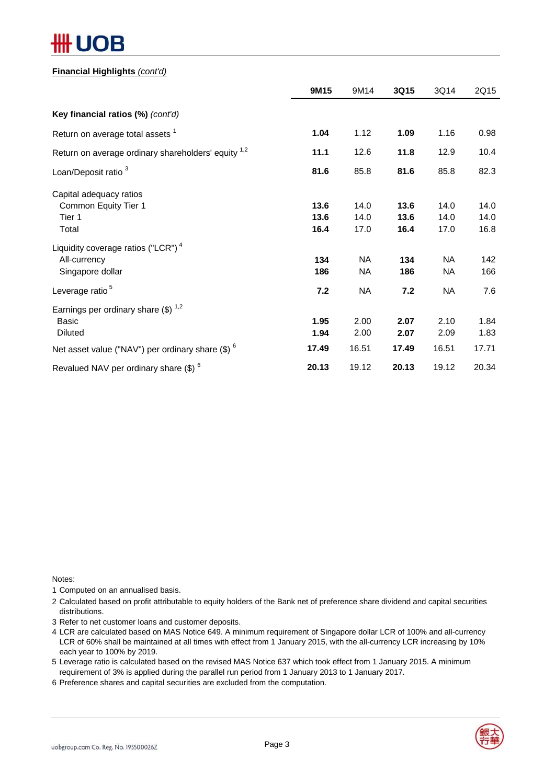#### **Financial Highlights** *(cont'd)*

|                                                                                    | 9M15                 | 9M14                 | 3Q15                 | 3Q14                 | 2Q15                 |
|------------------------------------------------------------------------------------|----------------------|----------------------|----------------------|----------------------|----------------------|
| Key financial ratios (%) (cont'd)                                                  |                      |                      |                      |                      |                      |
| Return on average total assets <sup>1</sup>                                        | 1.04                 | 1.12                 | 1.09                 | 1.16                 | 0.98                 |
| Return on average ordinary shareholders' equity <sup>1,2</sup>                     | 11.1                 | 12.6                 | 11.8                 | 12.9                 | 10.4                 |
| Loan/Deposit ratio <sup>3</sup>                                                    | 81.6                 | 85.8                 | 81.6                 | 85.8                 | 82.3                 |
| Capital adequacy ratios<br>Common Equity Tier 1<br>Tier 1<br>Total                 | 13.6<br>13.6<br>16.4 | 14.0<br>14.0<br>17.0 | 13.6<br>13.6<br>16.4 | 14.0<br>14.0<br>17.0 | 14.0<br>14.0<br>16.8 |
| Liquidity coverage ratios ("LCR") <sup>4</sup><br>All-currency<br>Singapore dollar | 134<br>186           | <b>NA</b><br>NA.     | 134<br>186           | NA<br>NА             | 142<br>166           |
| Leverage ratio <sup>5</sup>                                                        | 7.2                  | <b>NA</b>            | 7.2                  | NA                   | 7.6                  |
| Earnings per ordinary share $(\$)^{1,2}$<br>Basic<br><b>Diluted</b>                | 1.95<br>1.94         | 2.00<br>2.00         | 2.07<br>2.07         | 2.10<br>2.09         | 1.84<br>1.83         |
| Net asset value ("NAV") per ordinary share $(\$)$ $^6$                             | 17.49                | 16.51                | 17.49                | 16.51                | 17.71                |
| Revalued NAV per ordinary share (\$) <sup>6</sup>                                  | 20.13                | 19.12                | 20.13                | 19.12                | 20.34                |

Notes:

1 Computed on an annualised basis.

2 Calculated based on profit attributable to equity holders of the Bank net of preference share dividend and capital securities distributions.

3 Refer to net customer loans and customer deposits.

- 4 LCR are calculated based on MAS Notice 649. A minimum requirement of Singapore dollar LCR of 100% and all-currency LCR of 60% shall be maintained at all times with effect from 1 January 2015, with the all-currency LCR increasing by 10% each year to 100% by 2019.
- 5 Leverage ratio is calculated based on the revised MAS Notice 637 which took effect from 1 January 2015. A minimum requirement of 3% is applied during the parallel run period from 1 January 2013 to 1 January 2017.
- 6 Preference shares and capital securities are excluded from the computation.

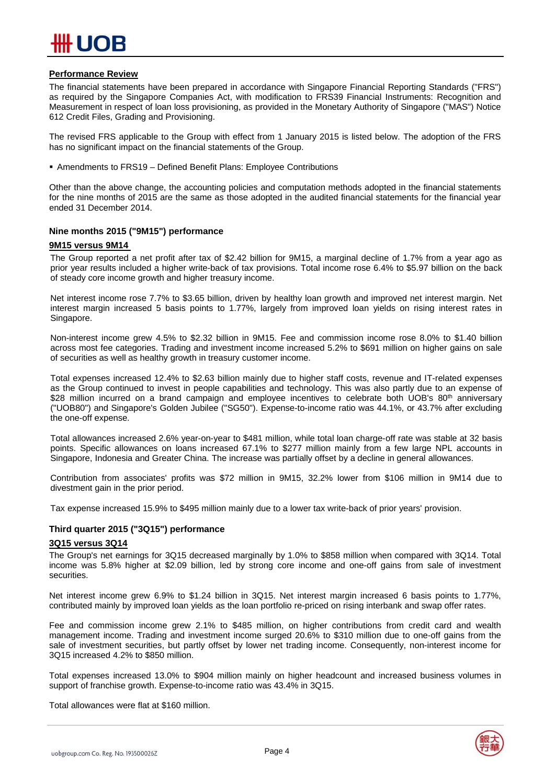#### **Performance Review**

The financial statements have been prepared in accordance with Singapore Financial Reporting Standards ("FRS") as required by the Singapore Companies Act, with modification to FRS39 Financial Instruments: Recognition and Measurement in respect of loan loss provisioning, as provided in the Monetary Authority of Singapore ("MAS") Notice 612 Credit Files, Grading and Provisioning.

The revised FRS applicable to the Group with effect from 1 January 2015 is listed below. The adoption of the FRS has no significant impact on the financial statements of the Group.

Amendments to FRS19 – Defined Benefit Plans: Employee Contributions

Other than the above change, the accounting policies and computation methods adopted in the financial statements for the nine months of 2015 are the same as those adopted in the audited financial statements for the financial year ended 31 December 2014.

#### **Nine months 2015 ("9M15") performance**

#### **9M15 versus 9M14**

The Group reported a net profit after tax of \$2.42 billion for 9M15, a marginal decline of 1.7% from a year ago as prior year results included a higher write-back of tax provisions. Total income rose 6.4% to \$5.97 billion on the back of steady core income growth and higher treasury income.

Net interest income rose 7.7% to \$3.65 billion, driven by healthy loan growth and improved net interest margin. Net interest margin increased 5 basis points to 1.77%, largely from improved loan yields on rising interest rates in Singapore.

Non-interest income grew 4.5% to \$2.32 billion in 9M15. Fee and commission income rose 8.0% to \$1.40 billion across most fee categories. Trading and investment income increased 5.2% to \$691 million on higher gains on sale of securities as well as healthy growth in treasury customer income.

Total expenses increased 12.4% to \$2.63 billion mainly due to higher staff costs, revenue and IT-related expenses as the Group continued to invest in people capabilities and technology. This was also partly due to an expense of \$28 million incurred on a brand campaign and employee incentives to celebrate both UOB's 80<sup>th</sup> anniversary ("UOB80") and Singapore's Golden Jubilee ("SG50"). Expense-to-income ratio was 44.1%, or 43.7% after excluding the one-off expense.

Total allowances increased 2.6% year-on-year to \$481 million, while total loan charge-off rate was stable at 32 basis points. Specific allowances on loans increased 67.1% to \$277 million mainly from a few large NPL accounts in Singapore, Indonesia and Greater China. The increase was partially offset by a decline in general allowances.

Contribution from associates' profits was \$72 million in 9M15, 32.2% lower from \$106 million in 9M14 due to divestment gain in the prior period.

Tax expense increased 15.9% to \$495 million mainly due to a lower tax write-back of prior years' provision.

#### **Third quarter 2015 ("3Q15") performance**

#### **3Q15 versus 3Q14**

The Group's net earnings for 3Q15 decreased marginally by 1.0% to \$858 million when compared with 3Q14. Total income was 5.8% higher at \$2.09 billion, led by strong core income and one-off gains from sale of investment securities.

Net interest income grew 6.9% to \$1.24 billion in 3Q15. Net interest margin increased 6 basis points to 1.77%, contributed mainly by improved loan yields as the loan portfolio re-priced on rising interbank and swap offer rates.

Fee and commission income grew 2.1% to \$485 million, on higher contributions from credit card and wealth management income. Trading and investment income surged 20.6% to \$310 million due to one-off gains from the sale of investment securities, but partly offset by lower net trading income. Consequently, non-interest income for 3Q15 increased 4.2% to \$850 million.

Total expenses increased 13.0% to \$904 million mainly on higher headcount and increased business volumes in support of franchise growth. Expense-to-income ratio was 43.4% in 3Q15.

Total allowances were flat at \$160 million.

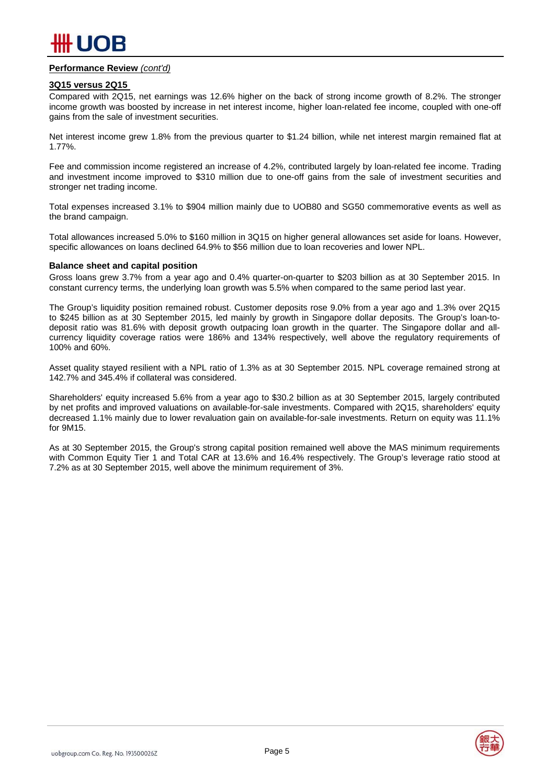#### **Performance Review** *(cont'd)*

#### **3Q15 versus 2Q15**

Compared with 2Q15, net earnings was 12.6% higher on the back of strong income growth of 8.2%. The stronger income growth was boosted by increase in net interest income, higher loan-related fee income, coupled with one-off gains from the sale of investment securities.

Net interest income grew 1.8% from the previous quarter to \$1.24 billion, while net interest margin remained flat at 1.77%.

Fee and commission income registered an increase of 4.2%, contributed largely by loan-related fee income. Trading and investment income improved to \$310 million due to one-off gains from the sale of investment securities and stronger net trading income.

Total expenses increased 3.1% to \$904 million mainly due to UOB80 and SG50 commemorative events as well as the brand campaign.

Total allowances increased 5.0% to \$160 million in 3Q15 on higher general allowances set aside for loans. However, specific allowances on loans declined 64.9% to \$56 million due to loan recoveries and lower NPL.

#### **Balance sheet and capital position**

Gross loans grew 3.7% from a year ago and 0.4% quarter-on-quarter to \$203 billion as at 30 September 2015. In constant currency terms, the underlying loan growth was 5.5% when compared to the same period last year.

The Group's liquidity position remained robust. Customer deposits rose 9.0% from a year ago and 1.3% over 2Q15 to \$245 billion as at 30 September 2015, led mainly by growth in Singapore dollar deposits. The Group's loan-todeposit ratio was 81.6% with deposit growth outpacing loan growth in the quarter. The Singapore dollar and allcurrency liquidity coverage ratios were 186% and 134% respectively, well above the regulatory requirements of 100% and 60%.

Asset quality stayed resilient with a NPL ratio of 1.3% as at 30 September 2015. NPL coverage remained strong at 142.7% and 345.4% if collateral was considered.

Shareholders' equity increased 5.6% from a year ago to \$30.2 billion as at 30 September 2015, largely contributed by net profits and improved valuations on available-for-sale investments. Compared with 2Q15, shareholders' equity decreased 1.1% mainly due to lower revaluation gain on available-for-sale investments. Return on equity was 11.1% for 9M15.

As at 30 September 2015, the Group's strong capital position remained well above the MAS minimum requirements with Common Equity Tier 1 and Total CAR at 13.6% and 16.4% respectively. The Group's leverage ratio stood at 7.2% as at 30 September 2015, well above the minimum requirement of 3%.

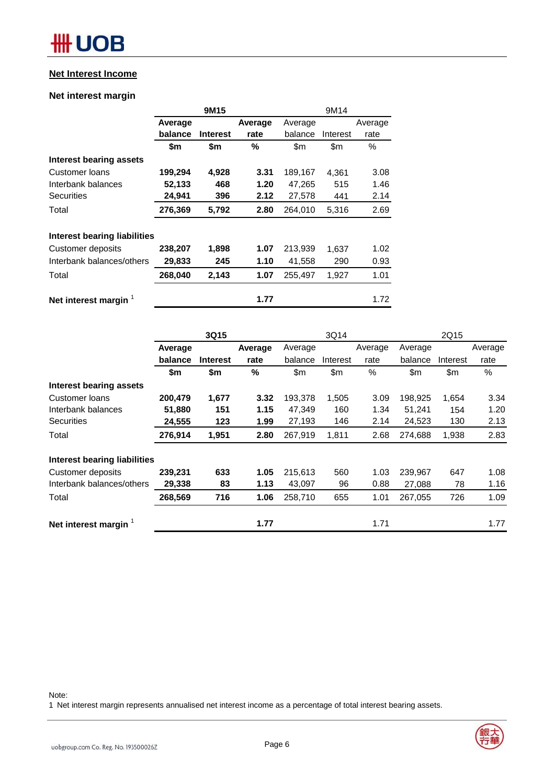#### **Net Interest Income**

#### **Net interest margin**

|                              |         | 9M15            |         | 9M14          |          |         |  |
|------------------------------|---------|-----------------|---------|---------------|----------|---------|--|
|                              | Average |                 | Average | Average       |          | Average |  |
|                              | balance | <b>Interest</b> | rate    | balance       | Interest | rate    |  |
|                              | \$m     | \$m             | %       | $\mathsf{Sm}$ | \$m      | %       |  |
| Interest bearing assets      |         |                 |         |               |          |         |  |
| Customer Ioans               | 199,294 | 4,928           | 3.31    | 189,167       | 4.361    | 3.08    |  |
| Interbank balances           | 52,133  | 468             | 1.20    | 47,265        | 515      | 1.46    |  |
| <b>Securities</b>            | 24,941  | 396             | 2.12    | 27,578        | 441      | 2.14    |  |
| Total                        | 276,369 | 5,792           | 2.80    | 264,010       | 5,316    | 2.69    |  |
| Interest bearing liabilities |         |                 |         |               |          |         |  |
| Customer deposits            | 238,207 | 1,898           | 1.07    | 213,939       | 1,637    | 1.02    |  |
| Interbank balances/others    | 29,833  | 245             | 1.10    | 41,558        | 290      | 0.93    |  |
| Total                        | 268,040 | 2,143           | 1.07    | 255,497       | 1,927    | 1.01    |  |
| Net interest margin          |         |                 | 1.77    |               |          | 1.72    |  |

|                                     |         | 3Q15            |         |         | 3Q14     |         |         | 2Q15     |         |
|-------------------------------------|---------|-----------------|---------|---------|----------|---------|---------|----------|---------|
|                                     | Average |                 | Average | Average |          | Average | Average |          | Average |
|                                     | balance | <b>Interest</b> | rate    | balance | Interest | rate    | balance | Interest | rate    |
|                                     | \$m     | \$m             | $\%$    | \$m\$   | \$m\$    | $\%$    | \$m     | \$m      | %       |
| Interest bearing assets             |         |                 |         |         |          |         |         |          |         |
| <b>Customer loans</b>               | 200,479 | 1,677           | 3.32    | 193,378 | 1,505    | 3.09    | 198,925 | 1,654    | 3.34    |
| Interbank balances                  | 51,880  | 151             | 1.15    | 47,349  | 160      | 1.34    | 51,241  | 154      | 1.20    |
| <b>Securities</b>                   | 24,555  | 123             | 1.99    | 27,193  | 146      | 2.14    | 24,523  | 130      | 2.13    |
| Total                               | 276,914 | 1,951           | 2.80    | 267,919 | 1,811    | 2.68    | 274,688 | 1,938    | 2.83    |
| <b>Interest bearing liabilities</b> |         |                 |         |         |          |         |         |          |         |
| Customer deposits                   | 239,231 | 633             | 1.05    | 215,613 | 560      | 1.03    | 239,967 | 647      | 1.08    |
| Interbank balances/others           | 29,338  | 83              | 1.13    | 43,097  | 96       | 0.88    | 27,088  | 78       | 1.16    |
| Total                               | 268,569 | 716             | 1.06    | 258,710 | 655      | 1.01    | 267,055 | 726      | 1.09    |
| Net interest margin 1               |         |                 | 1.77    |         |          | 1.71    |         |          | 1.77    |

Note:

1 Net interest margin represents annualised net interest income as a percentage of total interest bearing assets.

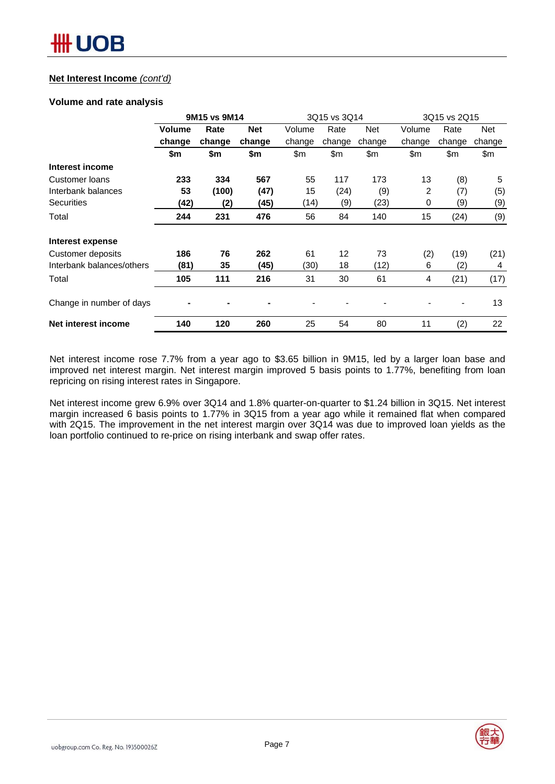#### **Net Interest Income** *(cont'd)*

#### **Volume and rate analysis**

|                           | 9M15 vs 9M14  |        |            | 3Q15 vs 3Q14 |        |            | 3Q15 vs 2Q15 |        |        |
|---------------------------|---------------|--------|------------|--------------|--------|------------|--------------|--------|--------|
|                           | <b>Volume</b> | Rate   | <b>Net</b> | Volume       | Rate   | <b>Net</b> | Volume       | Rate   | Net    |
|                           | change        | change | change     | change       | change | change     | change       | change | change |
|                           | \$m           | \$m    | \$m        | \$m          | \$m    | \$m        | \$m          | \$m    | \$m    |
| Interest income           |               |        |            |              |        |            |              |        |        |
| Customer loans            | 233           | 334    | 567        | 55           | 117    | 173        | 13           | (8)    | 5      |
| Interbank balances        | 53            | (100)  | (47)       | 15           | (24)   | (9)        | 2            | (7)    | (5)    |
| <b>Securities</b>         | (42)          | (2)    | (45)       | (14)         | (9)    | (23)       | 0            | (9)    | (9)    |
| Total                     | 244           | 231    | 476        | 56           | 84     | 140        | 15           | (24)   | (9)    |
| Interest expense          |               |        |            |              |        |            |              |        |        |
| Customer deposits         | 186           | 76     | 262        | 61           | 12     | 73         | (2)          | (19)   | (21)   |
| Interbank balances/others | (81)          | 35     | (45)       | (30)         | 18     | (12)       | 6            | (2)    | 4      |
| Total                     | 105           | 111    | 216        | 31           | 30     | 61         | 4            | (21)   | (17)   |
| Change in number of days  |               |        |            |              |        |            |              |        | 13     |
| Net interest income       | 140           | 120    | 260        | 25           | 54     | 80         | 11           | (2)    | 22     |

Net interest income rose 7.7% from a year ago to \$3.65 billion in 9M15, led by a larger loan base and improved net interest margin. Net interest margin improved 5 basis points to 1.77%, benefiting from loan repricing on rising interest rates in Singapore.

Net interest income grew 6.9% over 3Q14 and 1.8% quarter-on-quarter to \$1.24 billion in 3Q15. Net interest margin increased 6 basis points to 1.77% in 3Q15 from a year ago while it remained flat when compared with 2Q15. The improvement in the net interest margin over 3Q14 was due to improved loan yields as the loan portfolio continued to re-price on rising interbank and swap offer rates.

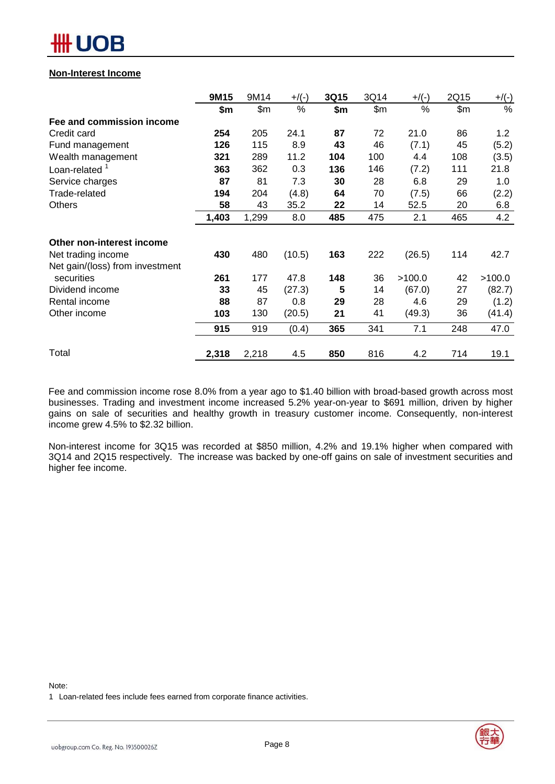#### **Non-Interest Income**

| \$m<br>254<br>126<br>321<br>363<br>87 | \$m\$<br>205<br>115<br>289<br>362                                   | %<br>24.1<br>8.9<br>11.2<br>0.3 | \$m\$<br>87<br>43 | \$m<br>72<br>46 | %<br>21.0<br>(7.1) | \$m\$<br>86<br>45 | $\%$<br>1.2 |
|---------------------------------------|---------------------------------------------------------------------|---------------------------------|-------------------|-----------------|--------------------|-------------------|-------------|
|                                       |                                                                     |                                 |                   |                 |                    |                   |             |
|                                       |                                                                     |                                 |                   |                 |                    |                   |             |
|                                       |                                                                     |                                 |                   |                 |                    |                   |             |
|                                       |                                                                     |                                 |                   |                 |                    |                   | (5.2)       |
|                                       |                                                                     |                                 | 104               | 100             | 4.4                | 108               | (3.5)       |
|                                       |                                                                     |                                 | 136               | 146             | (7.2)              | 111               | 21.8        |
|                                       | 81                                                                  | 7.3                             | 30                | 28              | 6.8                | 29                | 1.0         |
|                                       | 204                                                                 | (4.8)                           | 64                | 70              | (7.5)              | 66                | (2.2)       |
|                                       | 43                                                                  | 35.2                            | 22                | 14              | 52.5               | 20                | 6.8         |
|                                       | 1,299                                                               | 8.0                             | 485               | 475             | 2.1                | 465               | 4.2         |
|                                       |                                                                     |                                 |                   |                 |                    |                   |             |
|                                       | 480                                                                 | (10.5)                          | 163               | 222             | (26.5)             | 114               | 42.7        |
|                                       |                                                                     |                                 |                   |                 |                    |                   |             |
|                                       | 177                                                                 | 47.8                            | 148               | 36              | >100.0             | 42                | >100.0      |
|                                       | 45                                                                  | (27.3)                          | 5                 | 14              | (67.0)             | 27                | (82.7)      |
|                                       | 87                                                                  | 0.8                             | 29                | 28              | 4.6                | 29                | (1.2)       |
|                                       | 130                                                                 | (20.5)                          | 21                | 41              | (49.3)             | 36                | (41.4)      |
|                                       | 919                                                                 | (0.4)                           | 365               | 341             | 7.1                | 248               | 47.0        |
|                                       |                                                                     |                                 |                   |                 |                    |                   | 19.1        |
|                                       | 194<br>58<br>1,403<br>430<br>261<br>33<br>88<br>103<br>915<br>2,318 | 2,218                           | 4.5               | 850             | 816                | 4.2               | 714         |

Fee and commission income rose 8.0% from a year ago to \$1.40 billion with broad-based growth across most businesses. Trading and investment income increased 5.2% year-on-year to \$691 million, driven by higher gains on sale of securities and healthy growth in treasury customer income. Consequently, non-interest income grew 4.5% to \$2.32 billion.

Non-interest income for 3Q15 was recorded at \$850 million, 4.2% and 19.1% higher when compared with 3Q14 and 2Q15 respectively. The increase was backed by one-off gains on sale of investment securities and higher fee income.

Note:

1 Loan-related fees include fees earned from corporate finance activities.

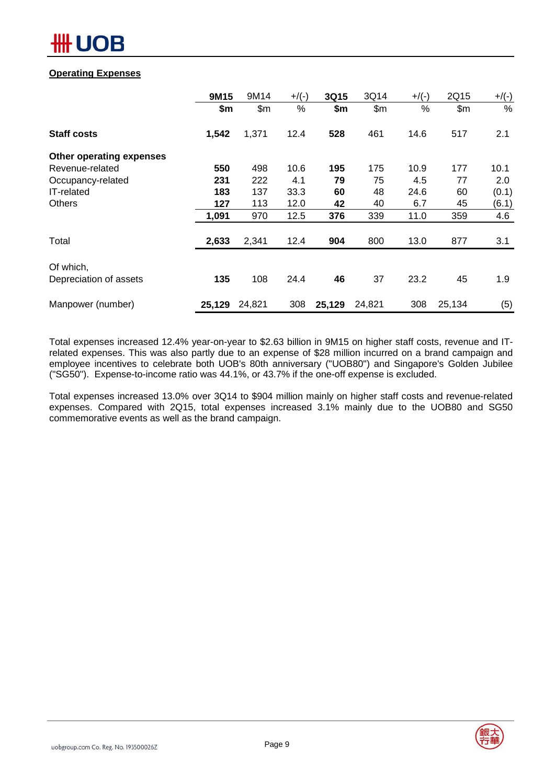### **Operating Expenses**

|                                     | 9M15   | 9M14   | $+$ /(-) | 3Q15   | 3Q14   | $+$ /(-) | 2Q15   | $+/(-)$ |
|-------------------------------------|--------|--------|----------|--------|--------|----------|--------|---------|
|                                     | \$m    | \$m\$  | %        | \$m    | \$m\$  | %        | \$m\$  | %       |
| <b>Staff costs</b>                  | 1,542  | 1,371  | 12.4     | 528    | 461    | 14.6     | 517    | 2.1     |
| Other operating expenses            |        |        |          |        |        |          |        |         |
| Revenue-related                     | 550    | 498    | 10.6     | 195    | 175    | 10.9     | 177    | 10.1    |
| Occupancy-related                   | 231    | 222    | 4.1      | 79     | 75     | 4.5      | 77     | 2.0     |
| IT-related                          | 183    | 137    | 33.3     | 60     | 48     | 24.6     | 60     | (0.1)   |
| <b>Others</b>                       | 127    | 113    | 12.0     | 42     | 40     | 6.7      | 45     | (6.1)   |
|                                     | 1,091  | 970    | 12.5     | 376    | 339    | 11.0     | 359    | 4.6     |
| Total                               | 2,633  | 2,341  | 12.4     | 904    | 800    | 13.0     | 877    | 3.1     |
|                                     |        |        |          |        |        |          |        |         |
| Of which,<br>Depreciation of assets | 135    | 108    | 24.4     | 46     | 37     | 23.2     | 45     | 1.9     |
| Manpower (number)                   | 25,129 | 24,821 | 308      | 25,129 | 24,821 | 308      | 25,134 | (5)     |

Total expenses increased 12.4% year-on-year to \$2.63 billion in 9M15 on higher staff costs, revenue and ITrelated expenses. This was also partly due to an expense of \$28 million incurred on a brand campaign and employee incentives to celebrate both UOB's 80th anniversary ("UOB80") and Singapore's Golden Jubilee ("SG50"). Expense-to-income ratio was 44.1%, or 43.7% if the one-off expense is excluded.

Total expenses increased 13.0% over 3Q14 to \$904 million mainly on higher staff costs and revenue-related expenses. Compared with 2Q15, total expenses increased 3.1% mainly due to the UOB80 and SG50 commemorative events as well as the brand campaign.

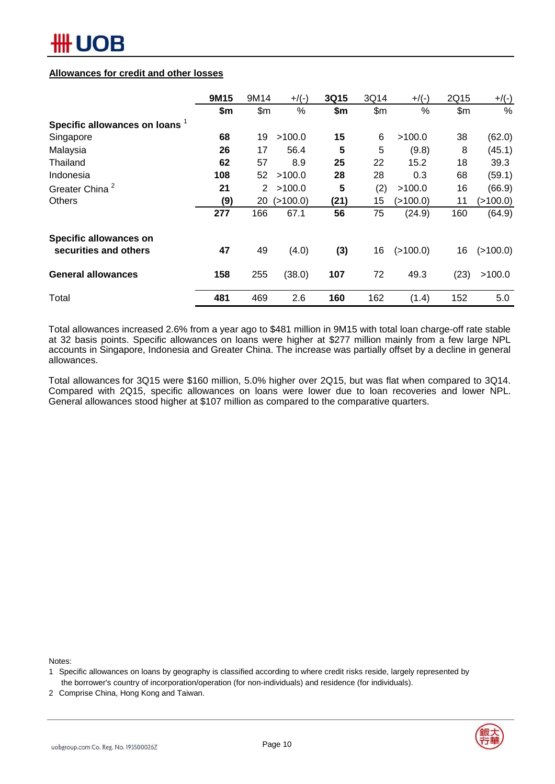#### **Allowances for credit and other losses**

|                                | 9M15 | 9M14                  | $+$ /(-)   | 3Q15 | 3Q14  | $+$ /(-) | 2Q15  | $+$ /(-) |
|--------------------------------|------|-----------------------|------------|------|-------|----------|-------|----------|
|                                | \$m  | \$m\$                 | %          | \$m  | \$m\$ | $\%$     | \$m\$ | $\%$     |
| Specific allowances on loans 1 |      |                       |            |      |       |          |       |          |
| Singapore                      | 68   | 19                    | >100.0     | 15   | 6     | >100.0   | 38    | (62.0)   |
| Malaysia                       | 26   | 17                    | 56.4       | 5    | 5     | (9.8)    | 8     | (45.1)   |
| Thailand                       | 62   | 57                    | 8.9        | 25   | 22    | 15.2     | 18    | 39.3     |
| Indonesia                      | 108  | 52                    | >100.0     | 28   | 28    | 0.3      | 68    | (59.1)   |
| Greater China <sup>2</sup>     | 21   | $\mathbf{2}^{\prime}$ | >100.0     | 5    | (2)   | >100.0   | 16    | (66.9)   |
| <b>Others</b>                  | (9)  | 20                    | ( > 100.0) | (21) | 15    | (>100.0) | 11    | (>100.0) |
|                                | 277  | 166                   | 67.1       | 56   | 75    | (24.9)   | 160   | (64.9)   |
| <b>Specific allowances on</b>  |      |                       |            |      |       |          |       |          |
| securities and others          | 47   | 49                    | (4.0)      | (3)  | 16    | (>100.0) | 16    | (>100.0) |
| <b>General allowances</b>      | 158  | 255                   | (38.0)     | 107  | 72    | 49.3     | (23)  | >100.0   |
| Total                          | 481  | 469                   | 2.6        | 160  | 162   | (1.4)    | 152   | 5.0      |

Total allowances increased 2.6% from a year ago to \$481 million in 9M15 with total loan charge-off rate stable at 32 basis points. Specific allowances on loans were higher at \$277 million mainly from a few large NPL accounts in Singapore, Indonesia and Greater China. The increase was partially offset by a decline in general allowances.

Total allowances for 3Q15 were \$160 million, 5.0% higher over 2Q15, but was flat when compared to 3Q14. Compared with 2Q15, specific allowances on loans were lower due to loan recoveries and lower NPL. General allowances stood higher at \$107 million as compared to the comparative quarters.

Notes:



<sup>1</sup> Specific allowances on loans by geography is classified according to where credit risks reside, largely represented by the borrower's country of incorporation/operation (for non-individuals) and residence (for individuals).

<sup>2</sup> Comprise China, Hong Kong and Taiwan.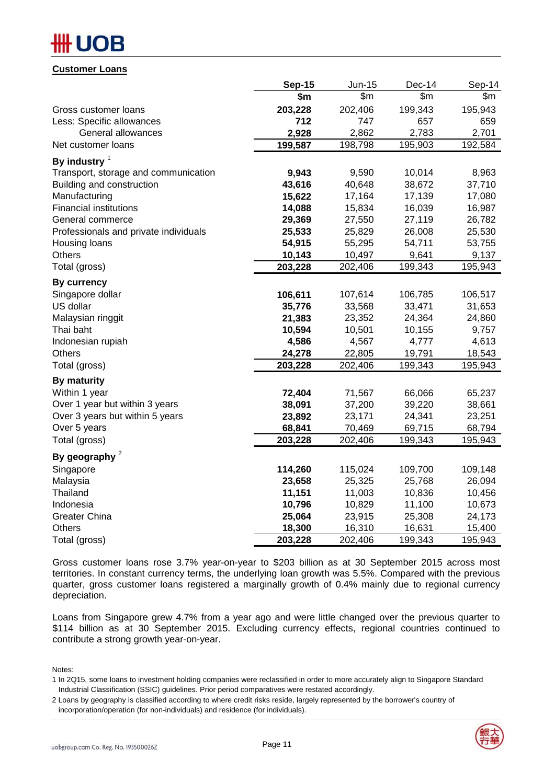#### **Customer Loans**

|                                       | <b>Sep-15</b> | <b>Jun-15</b> | Dec-14  | Sep-14  |
|---------------------------------------|---------------|---------------|---------|---------|
|                                       | \$m           | \$m\$         | \$m\$   | \$m     |
| Gross customer loans                  | 203,228       | 202,406       | 199,343 | 195,943 |
| Less: Specific allowances             | 712           | 747           | 657     | 659     |
| General allowances                    | 2,928         | 2,862         | 2,783   | 2,701   |
| Net customer loans                    | 199,587       | 198,798       | 195,903 | 192,584 |
| By industry $1$                       |               |               |         |         |
| Transport, storage and communication  | 9,943         | 9,590         | 10,014  | 8,963   |
| Building and construction             | 43,616        | 40,648        | 38,672  | 37,710  |
| Manufacturing                         | 15,622        | 17,164        | 17,139  | 17,080  |
| <b>Financial institutions</b>         | 14,088        | 15,834        | 16,039  | 16,987  |
| General commerce                      | 29,369        | 27,550        | 27,119  | 26,782  |
| Professionals and private individuals | 25,533        | 25,829        | 26,008  | 25,530  |
| Housing loans                         | 54,915        | 55,295        | 54,711  | 53,755  |
| <b>Others</b>                         | 10,143        | 10,497        | 9,641   | 9,137   |
| Total (gross)                         | 203,228       | 202,406       | 199,343 | 195,943 |
| By currency                           |               |               |         |         |
| Singapore dollar                      | 106,611       | 107,614       | 106,785 | 106,517 |
| US dollar                             | 35,776        | 33,568        | 33,471  | 31,653  |
| Malaysian ringgit                     | 21,383        | 23,352        | 24,364  | 24,860  |
| Thai baht                             | 10,594        | 10,501        | 10,155  | 9,757   |
| Indonesian rupiah                     | 4,586         | 4,567         | 4,777   | 4,613   |
| <b>Others</b>                         | 24,278        | 22,805        | 19,791  | 18,543  |
| Total (gross)                         | 203,228       | 202,406       | 199,343 | 195,943 |
| <b>By maturity</b>                    |               |               |         |         |
| Within 1 year                         | 72,404        | 71,567        | 66,066  | 65,237  |
| Over 1 year but within 3 years        | 38,091        | 37,200        | 39,220  | 38,661  |
| Over 3 years but within 5 years       | 23,892        | 23,171        | 24,341  | 23,251  |
| Over 5 years                          | 68,841        | 70,469        | 69,715  | 68,794  |
| Total (gross)                         | 203,228       | 202,406       | 199,343 | 195,943 |
| By geography $2$                      |               |               |         |         |
| Singapore                             | 114,260       | 115,024       | 109,700 | 109,148 |
| Malaysia                              | 23,658        | 25,325        | 25,768  | 26,094  |
| Thailand                              | 11,151        | 11,003        | 10,836  | 10,456  |
| Indonesia                             | 10,796        | 10,829        | 11,100  | 10,673  |
| <b>Greater China</b>                  | 25,064        | 23,915        | 25,308  | 24,173  |
| Others                                | 18,300        | 16,310        | 16,631  | 15,400  |
| Total (gross)                         | 203,228       | 202,406       | 199,343 | 195,943 |

Gross customer loans rose 3.7% year-on-year to \$203 billion as at 30 September 2015 across most territories. In constant currency terms, the underlying loan growth was 5.5%. Compared with the previous quarter, gross customer loans registered a marginally growth of 0.4% mainly due to regional currency depreciation.

Loans from Singapore grew 4.7% from a year ago and were little changed over the previous quarter to \$114 billion as at 30 September 2015. Excluding currency effects, regional countries continued to contribute a strong growth year-on-year.

Notes:

<sup>2</sup> Loans by geography is classified according to where credit risks reside, largely represented by the borrower's country of incorporation/operation (for non-individuals) and residence (for individuals).



<sup>1</sup> In 2Q15, some loans to investment holding companies were reclassified in order to more accurately align to Singapore Standard Industrial Classification (SSIC) guidelines. Prior period comparatives were restated accordingly.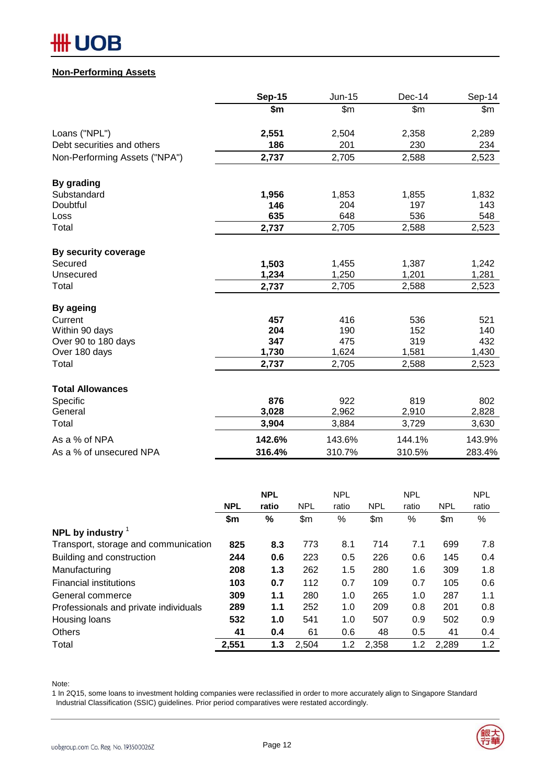# **HH UOB**

### **Non-Performing Assets**

|                               | <b>Sep-15</b> | <b>Jun-15</b> | Dec-14 | Sep-14 |
|-------------------------------|---------------|---------------|--------|--------|
|                               | \$m           | \$m\$         | \$m\$  | \$m    |
| Loans ("NPL")                 | 2,551         | 2,504         | 2,358  | 2,289  |
| Debt securities and others    | 186           | 201           | 230    | 234    |
| Non-Performing Assets ("NPA") | 2,737         | 2,705         | 2,588  | 2,523  |
| By grading                    |               |               |        |        |
| Substandard                   | 1,956         | 1,853         | 1,855  | 1,832  |
| Doubtful                      | 146           | 204           | 197    | 143    |
| Loss                          | 635           | 648           | 536    | 548    |
| Total                         | 2,737         | 2,705         | 2,588  | 2,523  |
| By security coverage          |               |               |        |        |
| Secured                       | 1,503         | 1,455         | 1,387  | 1,242  |
| Unsecured                     | 1,234         | 1,250         | 1,201  | 1,281  |
| Total                         | 2,737         | 2,705         | 2,588  | 2,523  |
| By ageing                     |               |               |        |        |
| Current                       | 457           | 416           | 536    | 521    |
| Within 90 days                | 204           | 190           | 152    | 140    |
| Over 90 to 180 days           | 347           | 475           | 319    | 432    |
| Over 180 days                 | 1,730         | 1,624         | 1,581  | 1,430  |
| Total                         | 2,737         | 2,705         | 2,588  | 2,523  |
| <b>Total Allowances</b>       |               |               |        |        |
| Specific                      | 876           | 922           | 819    | 802    |
| General                       | 3,028         | 2,962         | 2,910  | 2,828  |
| Total                         | 3,904         | 3,884         | 3,729  | 3,630  |
| As a % of NPA                 | 142.6%        | 143.6%        | 144.1% | 143.9% |
| As a % of unsecured NPA       | 316.4%        | 310.7%        | 310.5% | 283.4% |

|                                       |            | <b>NPL</b> |            | <b>NPL</b> |            | <b>NPL</b> |            | <b>NPL</b> |
|---------------------------------------|------------|------------|------------|------------|------------|------------|------------|------------|
|                                       | <b>NPL</b> | ratio      | <b>NPL</b> | ratio      | <b>NPL</b> | ratio      | <b>NPL</b> | ratio      |
|                                       | \$m        | %          | \$m        | %          | \$m        | %          | \$m        | %          |
| NPL by industry $1$                   |            |            |            |            |            |            |            |            |
| Transport, storage and communication  | 825        | 8.3        | 773        | 8.1        | 714        | 7.1        | 699        | 7.8        |
| Building and construction             | 244        | 0.6        | 223        | 0.5        | 226        | 0.6        | 145        | 0.4        |
| Manufacturing                         | 208        | 1.3        | 262        | 1.5        | 280        | 1.6        | 309        | 1.8        |
| <b>Financial institutions</b>         | 103        | 0.7        | 112        | 0.7        | 109        | 0.7        | 105        | 0.6        |
| General commerce                      | 309        | 1.1        | 280        | 1.0        | 265        | 1.0        | 287        | 1.1        |
| Professionals and private individuals | 289        | 1.1        | 252        | 1.0        | 209        | 0.8        | 201        | 0.8        |
| Housing loans                         | 532        | 1.0        | 541        | 1.0        | 507        | 0.9        | 502        | 0.9        |
| <b>Others</b>                         | 41         | 0.4        | 61         | 0.6        | 48         | 0.5        | 41         | 0.4        |
| Total                                 | 2,551      | 1.3        | 2,504      | 1.2        | 2.358      | 1.2        | 2,289      | 1.2        |

Note:

1 In 2Q15, some loans to investment holding companies were reclassified in order to more accurately align to Singapore Standard Industrial Classification (SSIC) guidelines. Prior period comparatives were restated accordingly.

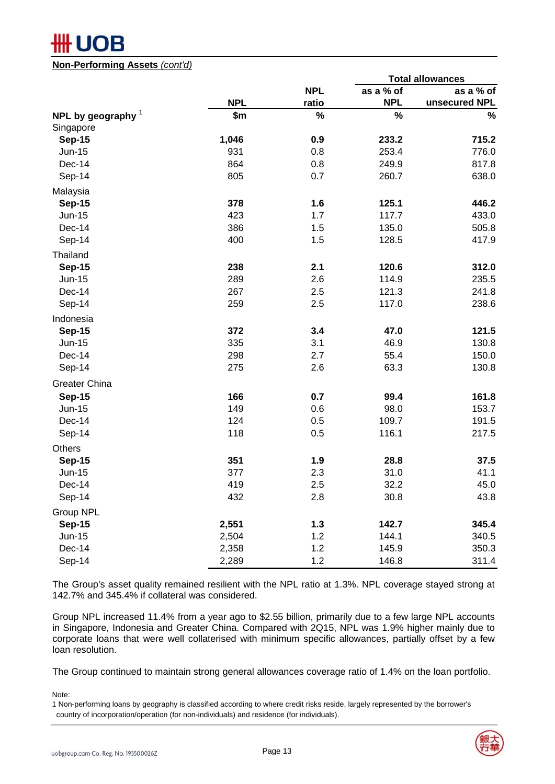**Non-Performing Assets** *(cont'd)*

|                                   |            |            | <b>Total allowances</b> |               |  |  |  |  |
|-----------------------------------|------------|------------|-------------------------|---------------|--|--|--|--|
|                                   |            | <b>NPL</b> | as a % of               | as a % of     |  |  |  |  |
|                                   | <b>NPL</b> | ratio      | <b>NPL</b>              | unsecured NPL |  |  |  |  |
| NPL by geography $1$<br>Singapore | \$m        | $\%$       | $\%$                    | $\%$          |  |  |  |  |
| <b>Sep-15</b>                     | 1,046      | 0.9        | 233.2                   | 715.2         |  |  |  |  |
| Jun-15                            | 931        | 0.8        | 253.4                   | 776.0         |  |  |  |  |
| Dec-14                            | 864        | 0.8        | 249.9                   | 817.8         |  |  |  |  |
| Sep-14                            | 805        | 0.7        | 260.7                   | 638.0         |  |  |  |  |
| Malaysia                          |            |            |                         |               |  |  |  |  |
| <b>Sep-15</b>                     | 378        | 1.6        | 125.1                   | 446.2         |  |  |  |  |
| Jun-15                            | 423        | 1.7        | 117.7                   | 433.0         |  |  |  |  |
| Dec-14                            | 386        | 1.5        | 135.0                   | 505.8         |  |  |  |  |
| Sep-14                            | 400        | 1.5        | 128.5                   | 417.9         |  |  |  |  |
| Thailand                          |            |            |                         |               |  |  |  |  |
| <b>Sep-15</b>                     | 238        | 2.1        | 120.6                   | 312.0         |  |  |  |  |
| Jun-15                            | 289        | 2.6        | 114.9                   | 235.5         |  |  |  |  |
| Dec-14                            | 267        | 2.5        | 121.3                   | 241.8         |  |  |  |  |
| Sep-14                            | 259        | 2.5        | 117.0                   | 238.6         |  |  |  |  |
| Indonesia                         |            |            |                         |               |  |  |  |  |
| <b>Sep-15</b>                     | 372        | 3.4        | 47.0                    | 121.5         |  |  |  |  |
| Jun-15                            | 335        | 3.1        | 46.9                    | 130.8         |  |  |  |  |
| Dec-14                            | 298        | 2.7        | 55.4                    | 150.0         |  |  |  |  |
| Sep-14                            | 275        | 2.6        | 63.3                    | 130.8         |  |  |  |  |
| <b>Greater China</b>              |            |            |                         |               |  |  |  |  |
| <b>Sep-15</b>                     | 166        | 0.7        | 99.4                    | 161.8         |  |  |  |  |
| Jun-15                            | 149        | 0.6        | 98.0                    | 153.7         |  |  |  |  |
| Dec-14                            | 124        | 0.5        | 109.7                   | 191.5         |  |  |  |  |
| Sep-14                            | 118        | 0.5        | 116.1                   | 217.5         |  |  |  |  |
| <b>Others</b>                     |            |            |                         |               |  |  |  |  |
| <b>Sep-15</b>                     | 351        | 1.9        | 28.8                    | 37.5          |  |  |  |  |
| Jun-15                            | 377        | 2.3        | 31.0                    | 41.1          |  |  |  |  |
| Dec-14                            | 419        | 2.5        | 32.2                    | 45.0          |  |  |  |  |
| Sep-14                            | 432        | 2.8        | 30.8                    | 43.8          |  |  |  |  |
| <b>Group NPL</b>                  |            |            |                         |               |  |  |  |  |
| <b>Sep-15</b>                     | 2,551      | 1.3        | 142.7                   | 345.4         |  |  |  |  |
| <b>Jun-15</b>                     | 2,504      | 1.2        | 144.1                   | 340.5         |  |  |  |  |
| Dec-14                            | 2,358      | 1.2        | 145.9                   | 350.3         |  |  |  |  |
| Sep-14                            | 2,289      | 1.2        | 146.8                   | 311.4         |  |  |  |  |

The Group's asset quality remained resilient with the NPL ratio at 1.3%. NPL coverage stayed strong at 142.7% and 345.4% if collateral was considered.

Group NPL increased 11.4% from a year ago to \$2.55 billion, primarily due to a few large NPL accounts in Singapore, Indonesia and Greater China. Compared with 2Q15, NPL was 1.9% higher mainly due to corporate loans that were well collaterised with minimum specific allowances, partially offset by a few loan resolution.

The Group continued to maintain strong general allowances coverage ratio of 1.4% on the loan portfolio.

Note:

<sup>1</sup> Non-performing loans by geography is classified according to where credit risks reside, largely represented by the borrower's country of incorporation/operation (for non-individuals) and residence (for individuals).

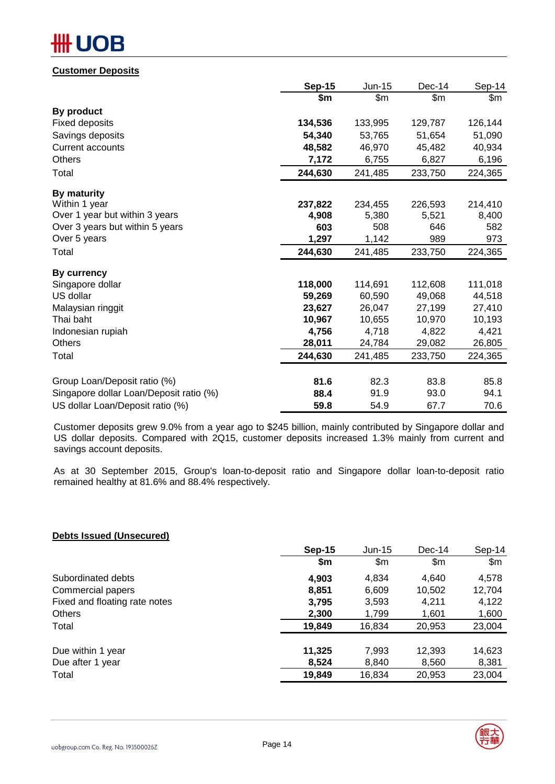# **IOB**

#### **Customer Deposits**

|                                         | <b>Sep-15</b> | Jun-15  | Dec-14  | Sep-14  |
|-----------------------------------------|---------------|---------|---------|---------|
|                                         | \$m           | \$m\$   | \$m\$   | \$m     |
| By product                              |               |         |         |         |
| <b>Fixed deposits</b>                   | 134,536       | 133,995 | 129,787 | 126,144 |
| Savings deposits                        | 54,340        | 53,765  | 51,654  | 51,090  |
| <b>Current accounts</b>                 | 48,582        | 46,970  | 45,482  | 40,934  |
| Others                                  | 7,172         | 6,755   | 6,827   | 6,196   |
| Total                                   | 244,630       | 241,485 | 233,750 | 224,365 |
| By maturity                             |               |         |         |         |
| Within 1 year                           | 237,822       | 234,455 | 226,593 | 214,410 |
| Over 1 year but within 3 years          | 4,908         | 5,380   | 5,521   | 8,400   |
| Over 3 years but within 5 years         | 603           | 508     | 646     | 582     |
| Over 5 years                            | 1,297         | 1,142   | 989     | 973     |
| Total                                   | 244,630       | 241,485 | 233,750 | 224,365 |
| By currency                             |               |         |         |         |
| Singapore dollar                        | 118,000       | 114,691 | 112,608 | 111,018 |
| US dollar                               | 59,269        | 60,590  | 49,068  | 44,518  |
| Malaysian ringgit                       | 23,627        | 26,047  | 27,199  | 27,410  |
| Thai baht                               | 10,967        | 10,655  | 10,970  | 10,193  |
| Indonesian rupiah                       | 4,756         | 4,718   | 4,822   | 4,421   |
| <b>Others</b>                           | 28,011        | 24,784  | 29,082  | 26,805  |
| Total                                   | 244,630       | 241,485 | 233,750 | 224,365 |
| Group Loan/Deposit ratio (%)            | 81.6          | 82.3    | 83.8    | 85.8    |
| Singapore dollar Loan/Deposit ratio (%) | 88.4          | 91.9    | 93.0    | 94.1    |
| US dollar Loan/Deposit ratio (%)        | 59.8          | 54.9    | 67.7    | 70.6    |
|                                         |               |         |         |         |

Customer deposits grew 9.0% from a year ago to \$245 billion, mainly contributed by Singapore dollar and US dollar deposits. Compared with 2Q15, customer deposits increased 1.3% mainly from current and savings account deposits.

As at 30 September 2015, Group's loan-to-deposit ratio and Singapore dollar loan-to-deposit ratio remained healthy at 81.6% and 88.4% respectively.

#### **Debts Issued (Unsecured)**

|                               | <b>Sep-15</b> | $Jun-15$ | $Dec-14$ | $Sep-14$ |
|-------------------------------|---------------|----------|----------|----------|
|                               | \$m           | \$m      | \$m      | \$m\$    |
| Subordinated debts            | 4,903         | 4,834    | 4,640    | 4,578    |
| Commercial papers             | 8,851         | 6,609    | 10,502   | 12,704   |
| Fixed and floating rate notes | 3,795         | 3,593    | 4.211    | 4,122    |
| <b>Others</b>                 | 2,300         | 1,799    | 1,601    | 1,600    |
| Total                         | 19,849        | 16,834   | 20,953   | 23,004   |
| Due within 1 year             | 11,325        | 7,993    | 12,393   | 14,623   |
| Due after 1 year              | 8,524         | 8,840    | 8,560    | 8,381    |
| Total                         | 19,849        | 16,834   | 20,953   | 23,004   |

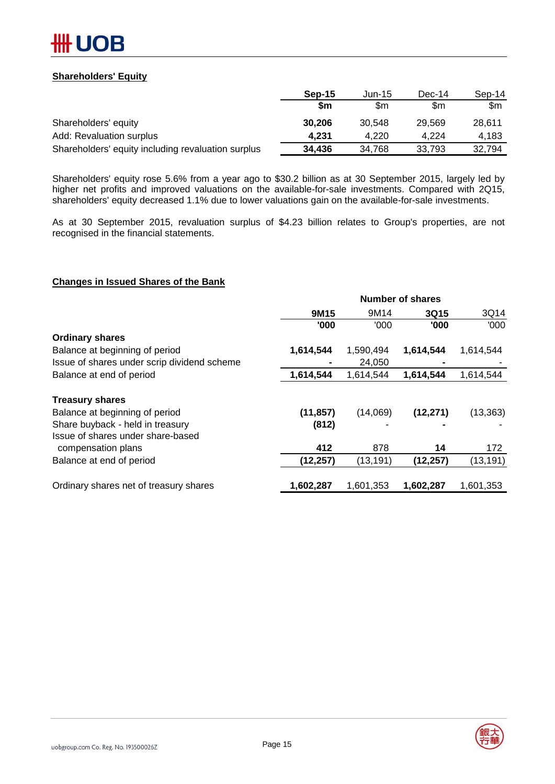

#### **Shareholders' Equity**

|                                                    | Sep-15 | $Jun-15$ | Dec-14 | $Sep-14$ |
|----------------------------------------------------|--------|----------|--------|----------|
|                                                    | \$m    | \$m      | \$m    | \$m      |
| Shareholders' equity                               | 30,206 | 30.548   | 29.569 | 28.611   |
| Add: Revaluation surplus                           | 4.231  | 4.220    | 4.224  | 4.183    |
| Shareholders' equity including revaluation surplus | 34,436 | 34.768   | 33.793 | 32.794   |

Shareholders' equity rose 5.6% from a year ago to \$30.2 billion as at 30 September 2015, largely led by higher net profits and improved valuations on the available-for-sale investments. Compared with 2Q15, shareholders' equity decreased 1.1% due to lower valuations gain on the available-for-sale investments.

As at 30 September 2015, revaluation surplus of \$4.23 billion relates to Group's properties, are not recognised in the financial statements.

#### **Changes in Issued Shares of the Bank**

|                                             | <b>Number of shares</b> |           |           |           |  |  |  |
|---------------------------------------------|-------------------------|-----------|-----------|-----------|--|--|--|
|                                             | 9M15                    | 9M14      | 3Q15      | 3Q14      |  |  |  |
|                                             | '000                    | '000      | '000      | '000      |  |  |  |
| <b>Ordinary shares</b>                      |                         |           |           |           |  |  |  |
| Balance at beginning of period              | 1,614,544               | 1,590,494 | 1,614,544 | 1,614,544 |  |  |  |
| Issue of shares under scrip dividend scheme |                         | 24,050    |           |           |  |  |  |
| Balance at end of period                    | 1,614,544               | 1,614,544 | 1,614,544 | 1,614,544 |  |  |  |
| <b>Treasury shares</b>                      |                         |           |           |           |  |  |  |
| Balance at beginning of period              | (11, 857)               | (14,069)  | (12, 271) | (13, 363) |  |  |  |
| Share buyback - held in treasury            | (812)                   |           |           |           |  |  |  |
| Issue of shares under share-based           |                         |           |           |           |  |  |  |
| compensation plans                          | 412                     | 878       | 14        | 172       |  |  |  |
| Balance at end of period                    | (12, 257)               | (13, 191) | (12, 257) | (13, 191) |  |  |  |
| Ordinary shares net of treasury shares      | 1,602,287               | 1,601,353 | 1,602,287 | 1,601,353 |  |  |  |

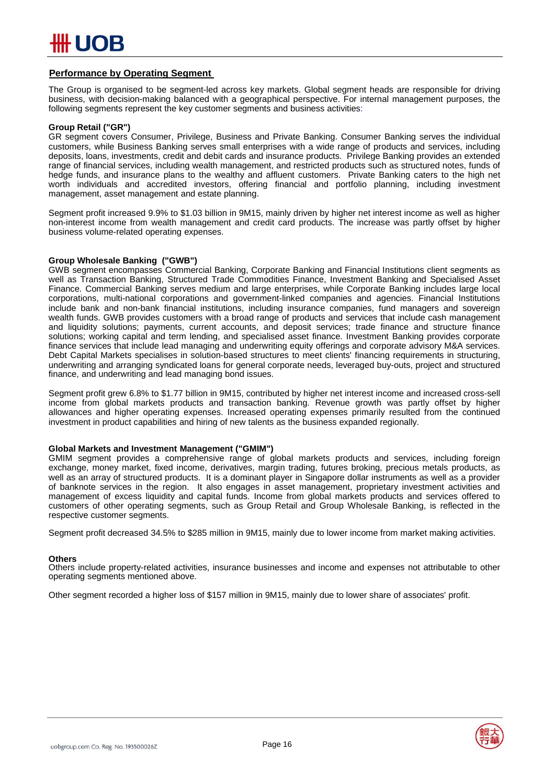

#### **Performance by Operating Segment**

The Group is organised to be segment-led across key markets. Global segment heads are responsible for driving business, with decision-making balanced with a geographical perspective. For internal management purposes, the following segments represent the key customer segments and business activities:

#### **Group Retail ("GR")**

GR segment covers Consumer, Privilege, Business and Private Banking. Consumer Banking serves the individual customers, while Business Banking serves small enterprises with a wide range of products and services, including deposits, loans, investments, credit and debit cards and insurance products. Privilege Banking provides an extended range of financial services, including wealth management, and restricted products such as structured notes, funds of hedge funds, and insurance plans to the wealthy and affluent customers. Private Banking caters to the high net worth individuals and accredited investors, offering financial and portfolio planning, including investment management, asset management and estate planning.

Segment profit increased 9.9% to \$1.03 billion in 9M15, mainly driven by higher net interest income as well as higher non-interest income from wealth management and credit card products. The increase was partly offset by higher business volume-related operating expenses.

#### **Group Wholesale Banking ("GWB")**

GWB segment encompasses Commercial Banking, Corporate Banking and Financial Institutions client segments as well as Transaction Banking, Structured Trade Commodities Finance, Investment Banking and Specialised Asset Finance. Commercial Banking serves medium and large enterprises, while Corporate Banking includes large local corporations, multi-national corporations and government-linked companies and agencies. Financial Institutions include bank and non-bank financial institutions, including insurance companies, fund managers and sovereign wealth funds. GWB provides customers with a broad range of products and services that include cash management and liquidity solutions; payments, current accounts, and deposit services; trade finance and structure finance solutions; working capital and term lending, and specialised asset finance. Investment Banking provides corporate finance services that include lead managing and underwriting equity offerings and corporate advisory M&A services. Debt Capital Markets specialises in solution-based structures to meet clients' financing requirements in structuring, underwriting and arranging syndicated loans for general corporate needs, leveraged buy-outs, project and structured finance, and underwriting and lead managing bond issues.

Segment profit grew 6.8% to \$1.77 billion in 9M15, contributed by higher net interest income and increased cross-sell income from global markets products and transaction banking. Revenue growth was partly offset by higher allowances and higher operating expenses. Increased operating expenses primarily resulted from the continued investment in product capabilities and hiring of new talents as the business expanded regionally.

#### **Global Markets and Investment Management ("GMIM")**

GMIM segment provides a comprehensive range of global markets products and services, including foreign exchange, money market, fixed income, derivatives, margin trading, futures broking, precious metals products, as well as an array of structured products. It is a dominant player in Singapore dollar instruments as well as a provider of banknote services in the region. It also engages in asset management, proprietary investment activities and management of excess liquidity and capital funds. Income from global markets products and services offered to customers of other operating segments, such as Group Retail and Group Wholesale Banking, is reflected in the respective customer segments.

Segment profit decreased 34.5% to \$285 million in 9M15, mainly due to lower income from market making activities.

#### **Others**

Others include property-related activities, insurance businesses and income and expenses not attributable to other operating segments mentioned above.

Other segment recorded a higher loss of \$157 million in 9M15, mainly due to lower share of associates' profit.

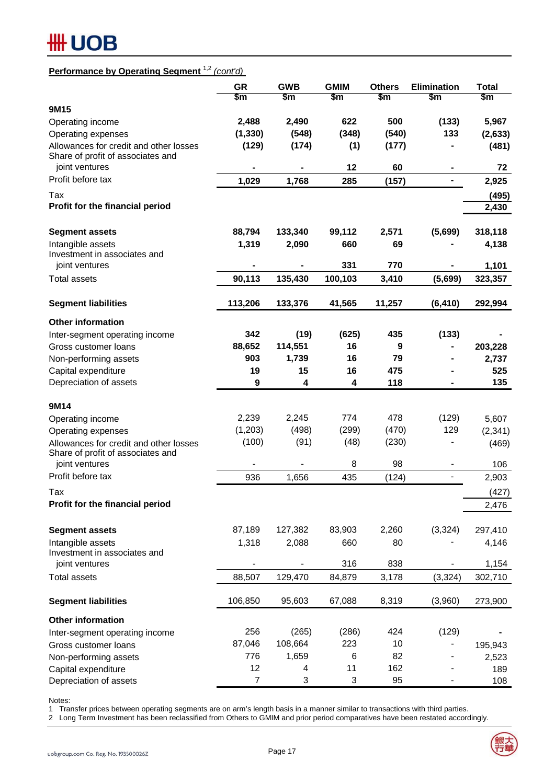# **#HUOB**

# **Performance by Operating Segment** 1,2 *(cont'd)*

|                                                                                               | <b>GR</b><br>\$m | <b>GWB</b><br>\$m | <b>GMIM</b><br>\$m | <b>Others</b><br>\$m | <b>Elimination</b><br>\$m    | <b>Total</b><br>\$m |
|-----------------------------------------------------------------------------------------------|------------------|-------------------|--------------------|----------------------|------------------------------|---------------------|
| 9M15                                                                                          |                  |                   |                    |                      |                              |                     |
| Operating income                                                                              | 2,488            | 2,490             | 622                | 500                  | (133)                        | 5,967               |
| Operating expenses                                                                            | (1, 330)         | (548)             | (348)              | (540)                | 133                          | (2,633)             |
| Allowances for credit and other losses                                                        | (129)            | (174)             | (1)                | (177)                |                              | (481)               |
| Share of profit of associates and<br>joint ventures                                           | ۰                |                   | 12                 | 60                   |                              | 72                  |
| Profit before tax                                                                             | 1,029            | 1,768             | 285                | (157)                | $\frac{1}{2}$                | 2,925               |
| Tax                                                                                           |                  |                   |                    |                      |                              | (495)               |
| Profit for the financial period                                                               |                  |                   |                    |                      |                              | 2,430               |
| <b>Segment assets</b>                                                                         | 88,794           | 133,340           | 99,112             | 2,571                | (5,699)                      | 318,118             |
| Intangible assets                                                                             | 1,319            | 2,090             | 660                | 69                   |                              | 4,138               |
| Investment in associates and                                                                  |                  |                   |                    |                      |                              |                     |
| joint ventures                                                                                |                  |                   | 331                | 770                  |                              | 1,101               |
| <b>Total assets</b>                                                                           | 90,113           | 135,430           | 100,103            | 3,410                | (5,699)                      | 323,357             |
| <b>Segment liabilities</b>                                                                    | 113,206          | 133,376           | 41,565             | 11,257               | (6, 410)                     | 292,994             |
| <b>Other information</b>                                                                      |                  |                   |                    |                      |                              |                     |
| Inter-segment operating income                                                                | 342              | (19)              | (625)              | 435                  | (133)                        |                     |
| Gross customer loans                                                                          | 88,652           | 114,551           | 16                 | 9                    |                              | 203,228             |
| Non-performing assets                                                                         | 903              | 1,739             | 16                 | 79                   |                              | 2,737               |
| Capital expenditure                                                                           | 19               | 15                | 16                 | 475                  |                              | 525                 |
| Depreciation of assets                                                                        | 9                | 4                 | 4                  | 118                  |                              | 135                 |
|                                                                                               |                  |                   |                    |                      |                              |                     |
| 9M14                                                                                          |                  | 2,245             | 774                | 478                  |                              |                     |
| Operating income                                                                              | 2,239            | (498)             |                    |                      | (129)<br>129                 | 5,607               |
| Operating expenses                                                                            | (1,203)<br>(100) | (91)              | (299)<br>(48)      | (470)<br>(230)       |                              | (2, 341)            |
| Allowances for credit and other losses<br>Share of profit of associates and<br>joint ventures |                  |                   | 8                  | 98                   |                              | (469)<br>106        |
| Profit before tax                                                                             | 936              | 1,656             | 435                | (124)                | $\qquad \qquad \blacksquare$ | 2,903               |
|                                                                                               |                  |                   |                    |                      |                              |                     |
| Tax                                                                                           |                  |                   |                    |                      |                              | (427)               |
| Profit for the financial period                                                               |                  |                   |                    |                      |                              | 2,476               |
| <b>Segment assets</b>                                                                         | 87,189           | 127,382           | 83,903             | 2,260                | (3, 324)                     | 297,410             |
| Intangible assets<br>Investment in associates and                                             | 1,318            | 2,088             | 660                | 80                   |                              | 4,146               |
| joint ventures                                                                                |                  |                   | 316                | 838                  |                              | 1,154               |
| <b>Total assets</b>                                                                           | 88,507           | 129,470           | 84,879             | 3,178                | (3, 324)                     | 302,710             |
| <b>Segment liabilities</b>                                                                    | 106,850          | 95,603            | 67,088             | 8,319                | (3,960)                      | 273,900             |
| <b>Other information</b>                                                                      |                  |                   |                    |                      |                              |                     |
| Inter-segment operating income                                                                | 256              | (265)             | (286)              | 424                  | (129)                        |                     |
| Gross customer loans                                                                          | 87,046           | 108,664           | 223                | 10                   |                              | 195,943             |
| Non-performing assets                                                                         | 776              | 1,659             | 6                  | 82                   |                              | 2,523               |
| Capital expenditure                                                                           | 12               | 4                 | 11                 | 162                  |                              | 189                 |
| Depreciation of assets                                                                        | $\overline{7}$   | 3                 | 3                  | 95                   | $\qquad \qquad \blacksquare$ | 108                 |

Notes:

1 Transfer prices between operating segments are on arm's length basis in a manner similar to transactions with third parties.

2 Long Term Investment has been reclassified from Others to GMIM and prior period comparatives have been restated accordingly.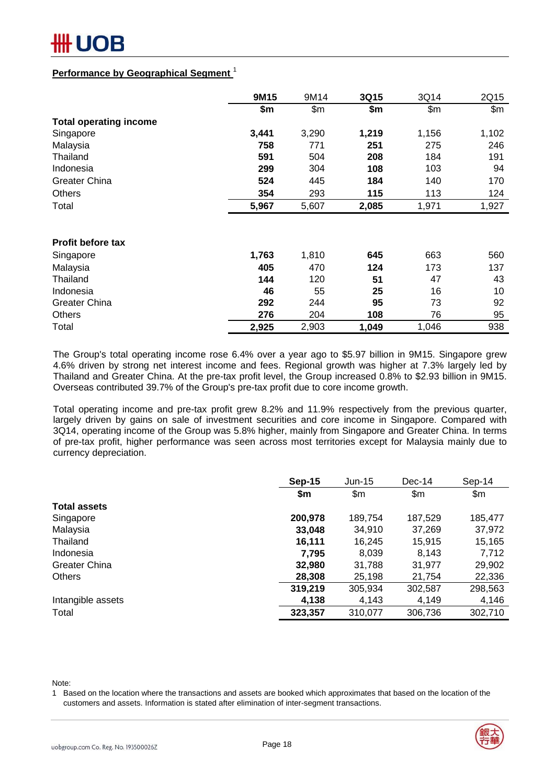### **Performance by Geographical Segment** <sup>1</sup>

|                               | 9M15  | 9M14  | 3Q15  | 3Q14  | 2Q15  |
|-------------------------------|-------|-------|-------|-------|-------|
|                               | \$m   | \$m\$ | \$m   | \$m\$ | \$m\$ |
| <b>Total operating income</b> |       |       |       |       |       |
| Singapore                     | 3,441 | 3,290 | 1,219 | 1,156 | 1,102 |
| Malaysia                      | 758   | 771   | 251   | 275   | 246   |
| Thailand                      | 591   | 504   | 208   | 184   | 191   |
| Indonesia                     | 299   | 304   | 108   | 103   | 94    |
| <b>Greater China</b>          | 524   | 445   | 184   | 140   | 170   |
| <b>Others</b>                 | 354   | 293   | 115   | 113   | 124   |
| Total                         | 5,967 | 5,607 | 2,085 | 1,971 | 1,927 |
|                               |       |       |       |       |       |
| <b>Profit before tax</b>      |       |       |       |       |       |
| Singapore                     | 1,763 | 1,810 | 645   | 663   | 560   |
| Malaysia                      | 405   | 470   | 124   | 173   | 137   |
| Thailand                      | 144   | 120   | 51    | 47    | 43    |
| Indonesia                     | 46    | 55    | 25    | 16    | 10    |
| <b>Greater China</b>          | 292   | 244   | 95    | 73    | 92    |
| <b>Others</b>                 | 276   | 204   | 108   | 76    | 95    |
| Total                         | 2,925 | 2,903 | 1,049 | 1,046 | 938   |

The Group's total operating income rose 6.4% over a year ago to \$5.97 billion in 9M15. Singapore grew 4.6% driven by strong net interest income and fees. Regional growth was higher at 7.3% largely led by Thailand and Greater China. At the pre-tax profit level, the Group increased 0.8% to \$2.93 billion in 9M15. Overseas contributed 39.7% of the Group's pre-tax profit due to core income growth.

Total operating income and pre-tax profit grew 8.2% and 11.9% respectively from the previous quarter, largely driven by gains on sale of investment securities and core income in Singapore. Compared with 3Q14, operating income of the Group was 5.8% higher, mainly from Singapore and Greater China. In terms of pre-tax profit, higher performance was seen across most territories except for Malaysia mainly due to currency depreciation.

|                     | <b>Sep-15</b> | $Jun-15$ | $Dec-14$ | Sep-14        |
|---------------------|---------------|----------|----------|---------------|
|                     | \$m           | \$m      | \$m      | $\mathsf{Sm}$ |
| <b>Total assets</b> |               |          |          |               |
| Singapore           | 200,978       | 189,754  | 187,529  | 185,477       |
| Malaysia            | 33,048        | 34,910   | 37,269   | 37,972        |
| Thailand            | 16,111        | 16,245   | 15,915   | 15,165        |
| Indonesia           | 7.795         | 8,039    | 8,143    | 7,712         |
| Greater China       | 32,980        | 31,788   | 31,977   | 29,902        |
| <b>Others</b>       | 28,308        | 25,198   | 21,754   | 22,336        |
|                     | 319,219       | 305,934  | 302,587  | 298,563       |
| Intangible assets   | 4,138         | 4,143    | 4,149    | 4,146         |
| Total               | 323,357       | 310,077  | 306,736  | 302,710       |

Note:

1 Based on the location where the transactions and assets are booked which approximates that based on the location of the customers and assets. Information is stated after elimination of inter-segment transactions.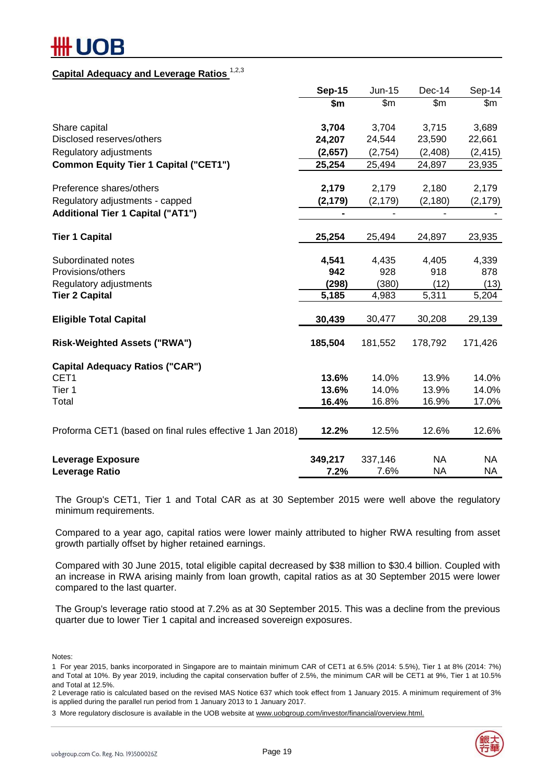### **Capital Adequacy and Leverage Ratios** 1,2,3

|                                                           | <b>Sep-15</b>                | Jun-15         | Dec-14        | Sep-14        |
|-----------------------------------------------------------|------------------------------|----------------|---------------|---------------|
|                                                           | \$m\$                        | $\mathsf{Sm}$  | \$m\$         | $\mathsf{Sm}$ |
| Share capital                                             | 3,704                        | 3,704          | 3,715         | 3,689         |
| Disclosed reserves/others                                 | 24,207                       | 24,544         | 23,590        | 22,661        |
| Regulatory adjustments                                    | (2,657)                      | (2,754)        | (2,408)       | (2, 415)      |
| <b>Common Equity Tier 1 Capital ("CET1")</b>              | 25,254                       | 25,494         | 24,897        | 23,935        |
| Preference shares/others                                  | 2,179                        | 2,179          | 2,180         | 2,179         |
| Regulatory adjustments - capped                           | (2, 179)                     | (2, 179)       | (2, 180)      | (2, 179)      |
| <b>Additional Tier 1 Capital ("AT1")</b>                  | $\qquad \qquad \blacksquare$ | $\blacksquare$ | $\frac{1}{2}$ |               |
| <b>Tier 1 Capital</b>                                     | 25,254                       | 25,494         | 24,897        | 23,935        |
| Subordinated notes                                        | 4,541                        | 4,435          | 4,405         | 4,339         |
| Provisions/others                                         | 942                          | 928            | 918           | 878           |
| Regulatory adjustments                                    | (298)                        | (380)          | (12)          | (13)          |
| <b>Tier 2 Capital</b>                                     | 5,185                        | 4,983          | 5,311         | 5,204         |
| <b>Eligible Total Capital</b>                             | 30,439                       | 30,477         | 30,208        | 29,139        |
| <b>Risk-Weighted Assets ("RWA")</b>                       | 185,504                      | 181,552        | 178,792       | 171,426       |
| <b>Capital Adequacy Ratios ("CAR")</b>                    |                              |                |               |               |
| CET1                                                      | 13.6%                        | 14.0%          | 13.9%         | 14.0%         |
| Tier 1                                                    | 13.6%                        | 14.0%          | 13.9%         | 14.0%         |
| Total                                                     | 16.4%                        | 16.8%          | 16.9%         | 17.0%         |
| Proforma CET1 (based on final rules effective 1 Jan 2018) | 12.2%                        | 12.5%          | 12.6%         | 12.6%         |
| <b>Leverage Exposure</b>                                  | 349,217                      | 337,146        | <b>NA</b>     | NA.           |
| <b>Leverage Ratio</b>                                     | 7.2%                         | 7.6%           | <b>NA</b>     | <b>NA</b>     |

The Group's CET1, Tier 1 and Total CAR as at 30 September 2015 were well above the regulatory minimum requirements.

Compared to a year ago, capital ratios were lower mainly attributed to higher RWA resulting from asset growth partially offset by higher retained earnings.

Compared with 30 June 2015, total eligible capital decreased by \$38 million to \$30.4 billion. Coupled with an increase in RWA arising mainly from loan growth, capital ratios as at 30 September 2015 were lower compared to the last quarter.

The Group's leverage ratio stood at 7.2% as at 30 September 2015. This was a decline from the previous quarter due to lower Tier 1 capital and increased sovereign exposures.

Notes:

2 Leverage ratio is calculated based on the revised MAS Notice 637 which took effect from 1 January 2015. A minimum requirement of 3% is applied during the parallel run period from 1 January 2013 to 1 January 2017.



<sup>1</sup> For year 2015, banks incorporated in Singapore are to maintain minimum CAR of CET1 at 6.5% (2014: 5.5%), Tier 1 at 8% (2014: 7%) and Total at 10%. By year 2019, including the capital conservation buffer of 2.5%, the minimum CAR will be CET1 at 9%, Tier 1 at 10.5% and Total at 12.5%.

<sup>3</sup> More regulatory disclosure is available in the UOB website at www.uobgroup.com/investor/financial/overview.html.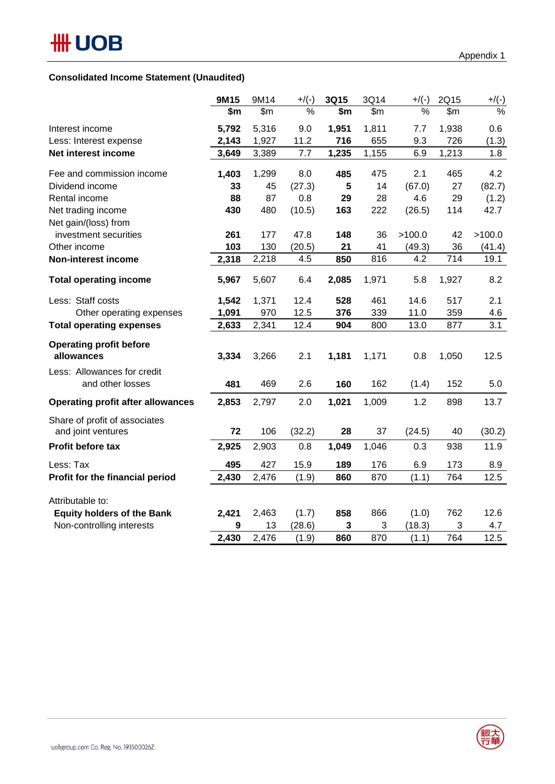## **Consolidated Income Statement (Unaudited)**

|                                                     | 9M15  | 9M14  | $+$ /(-) | 3Q15  | 3Q14  | $+$ /(-) | 2Q15  | $+$ /(-)      |
|-----------------------------------------------------|-------|-------|----------|-------|-------|----------|-------|---------------|
|                                                     | \$m   | \$m\$ | $\%$     | \$m   | \$m\$ | %        | \$m\$ | $\frac{9}{6}$ |
| Interest income                                     | 5,792 | 5,316 | 9.0      | 1,951 | 1,811 | 7.7      | 1,938 | 0.6           |
| Less: Interest expense                              | 2,143 | 1,927 | 11.2     | 716   | 655   | 9.3      | 726   | (1.3)         |
| Net interest income                                 | 3,649 | 3,389 | 7.7      | 1,235 | 1,155 | 6.9      | 1,213 | 1.8           |
| Fee and commission income                           | 1,403 | 1,299 | 8.0      | 485   | 475   | 2.1      | 465   | 4.2           |
| Dividend income                                     | 33    | 45    | (27.3)   | 5     | 14    | (67.0)   | 27    | (82.7)        |
| Rental income                                       | 88    | 87    | 0.8      | 29    | 28    | 4.6      | 29    | (1.2)         |
| Net trading income                                  | 430   | 480   | (10.5)   | 163   | 222   | (26.5)   | 114   | 42.7          |
| Net gain/(loss) from                                |       |       |          |       |       |          |       |               |
| investment securities                               | 261   | 177   | 47.8     | 148   | 36    | >100.0   | 42    | >100.0        |
| Other income                                        | 103   | 130   | (20.5)   | 21    | 41    | (49.3)   | 36    | (41.4)        |
| <b>Non-interest income</b>                          | 2,318 | 2,218 | 4.5      | 850   | 816   | 4.2      | 714   | 19.1          |
| <b>Total operating income</b>                       | 5,967 | 5,607 | 6.4      | 2,085 | 1,971 | 5.8      | 1,927 | 8.2           |
| Less: Staff costs                                   | 1,542 | 1,371 | 12.4     | 528   | 461   | 14.6     | 517   | 2.1           |
| Other operating expenses                            | 1,091 | 970   | 12.5     | 376   | 339   | 11.0     | 359   | 4.6           |
| <b>Total operating expenses</b>                     | 2,633 | 2,341 | 12.4     | 904   | 800   | 13.0     | 877   | 3.1           |
| <b>Operating profit before</b><br>allowances        | 3,334 | 3,266 | 2.1      | 1,181 | 1,171 | 0.8      | 1,050 | 12.5          |
| Less: Allowances for credit<br>and other losses     | 481   | 469   | 2.6      | 160   | 162   | (1.4)    | 152   | 5.0           |
| <b>Operating profit after allowances</b>            | 2,853 | 2,797 | 2.0      | 1,021 | 1,009 | 1.2      | 898   | 13.7          |
| Share of profit of associates<br>and joint ventures | 72    | 106   | (32.2)   | 28    | 37    | (24.5)   | 40    | (30.2)        |
| Profit before tax                                   | 2,925 | 2,903 | 0.8      | 1,049 | 1,046 | 0.3      | 938   | 11.9          |
| Less: Tax                                           | 495   | 427   | 15.9     | 189   | 176   | 6.9      | 173   | 8.9           |
| Profit for the financial period                     | 2,430 | 2,476 | (1.9)    | 860   | 870   | (1.1)    | 764   | 12.5          |
| Attributable to:                                    |       |       |          |       |       |          |       |               |
| <b>Equity holders of the Bank</b>                   | 2,421 | 2,463 | (1.7)    | 858   | 866   | (1.0)    | 762   | 12.6          |
| Non-controlling interests                           | 9     | 13    | (28.6)   | 3     | 3     | (18.3)   | 3     | 4.7           |
|                                                     | 2,430 | 2,476 | (1.9)    | 860   | 870   | (1.1)    | 764   | 12.5          |

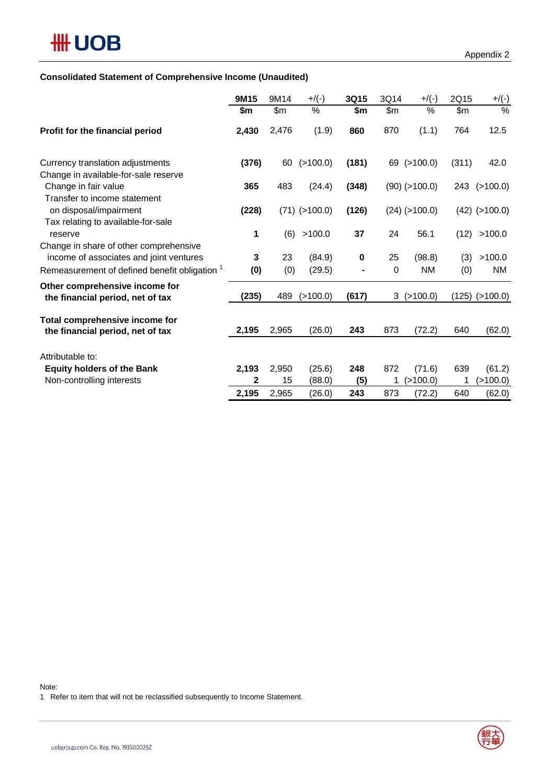### **Consolidated Statement of Comprehensive Income (Unaudited)**

|                                                                                              | 9M15  | 9M14  | $+$ /(-)        | 3Q15  | 3Q14 | $+$ /(-)         | 2Q15  | $+/(-)$            |
|----------------------------------------------------------------------------------------------|-------|-------|-----------------|-------|------|------------------|-------|--------------------|
|                                                                                              | \$m   | \$m\$ | $\%$            | \$m   | \$m  | $\%$             | \$m\$ | $\%$               |
| Profit for the financial period                                                              | 2,430 | 2,476 | (1.9)           | 860   | 870  | (1.1)            | 764   | 12.5               |
| Currency translation adjustments                                                             | (376) | 60    | (>100.0)        | (181) |      | 69 (>100.0)      | (311) | 42.0               |
| Change in available-for-sale reserve<br>Change in fair value<br>Transfer to income statement | 365   | 483   | (24.4)          | (348) |      | $(90)$ (>100.0)  |       | 243 (>100.0)       |
| on disposal/impairment<br>Tax relating to available-for-sale                                 | (228) |       | $(71)$ (>100.0) | (126) |      | $(24)$ (>100.0)  |       | $(42)$ (>100.0)    |
| reserve                                                                                      | 1     | (6)   | >100.0          | 37    | 24   | 56.1             | (12)  | >100.0             |
| Change in share of other comprehensive<br>income of associates and joint ventures            | 3     | 23    | (84.9)          | 0     | 25   | (98.8)           | (3)   | >100.0             |
| Remeasurement of defined benefit obligation <sup>1</sup>                                     | (0)   | (0)   | (29.5)          |       | 0    | <b>NM</b>        | (0)   | ΝM                 |
| Other comprehensive income for<br>the financial period, net of tax                           | (235) | 489   | (>100.0)        | (617) |      | $3$ ( $>100.0$ ) |       | $(125)$ $(>100.0)$ |
| Total comprehensive income for<br>the financial period, net of tax                           | 2,195 | 2,965 | (26.0)          | 243   | 873  | (72.2)           | 640   | (62.0)             |
| Attributable to:                                                                             |       |       |                 |       |      |                  |       |                    |
| <b>Equity holders of the Bank</b>                                                            | 2,193 | 2,950 | (25.6)          | 248   | 872  | (71.6)           | 639   | (61.2)             |
| Non-controlling interests                                                                    | 2     | 15    | (88.0)          | (5)   | 1    | (>100.0)         | 1     | (>100.0)           |
|                                                                                              | 2,195 | 2,965 | (26.0)          | 243   | 873  | (72.2)           | 640   | (62.0)             |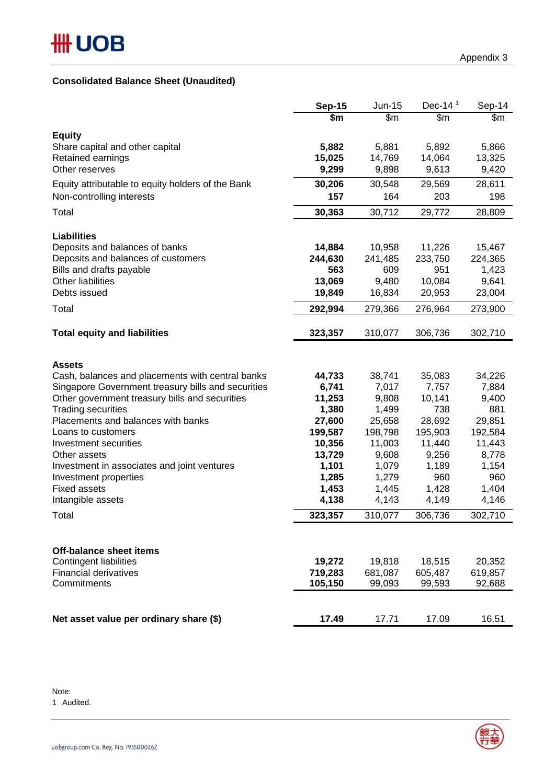# **Consolidated Balance Sheet (Unaudited)**

|                                                             | <b>Sep-15</b>   | Jun-15           | Dec-14 $1$       | Sep-14                  |
|-------------------------------------------------------------|-----------------|------------------|------------------|-------------------------|
|                                                             | \$m             | $\overline{\$m}$ | $\overline{\$m}$ | $\sqrt{\scriptstyle m}$ |
| <b>Equity</b>                                               |                 |                  |                  |                         |
| Share capital and other capital                             | 5,882           | 5,881            | 5,892            | 5,866                   |
| Retained earnings                                           | 15,025          | 14,769           | 14,064           | 13,325                  |
| Other reserves                                              | 9,299           | 9,898            | 9,613            | 9,420                   |
| Equity attributable to equity holders of the Bank           | 30,206          | 30,548           | 29,569           | 28,611                  |
| Non-controlling interests                                   | 157             | 164              | 203              | 198                     |
| Total                                                       | 30,363          | 30,712           | 29,772           | 28,809                  |
|                                                             |                 |                  |                  |                         |
| <b>Liabilities</b>                                          |                 |                  |                  |                         |
| Deposits and balances of banks                              | 14,884          | 10,958           | 11,226           | 15,467                  |
| Deposits and balances of customers                          | 244,630         | 241,485          | 233,750          | 224,365                 |
| Bills and drafts payable<br>Other liabilities               | 563<br>13,069   | 609<br>9,480     | 951<br>10,084    | 1,423<br>9,641          |
| Debts issued                                                | 19,849          | 16,834           | 20,953           | 23,004                  |
| Total                                                       | 292,994         | 279,366          | 276,964          | 273,900                 |
|                                                             |                 |                  |                  |                         |
| <b>Total equity and liabilities</b>                         | 323,357         | 310,077          | 306,736          | 302,710                 |
|                                                             |                 |                  |                  |                         |
| <b>Assets</b>                                               |                 |                  |                  |                         |
| Cash, balances and placements with central banks            | 44,733          | 38,741           | 35,083           | 34,226                  |
| Singapore Government treasury bills and securities          | 6,741           | 7,017            | 7,757            | 7,884                   |
| Other government treasury bills and securities              | 11,253          | 9,808            | 10,141           | 9,400                   |
| <b>Trading securities</b>                                   | 1,380           | 1,499            | 738              | 881                     |
| Placements and balances with banks                          | 27,600          | 25,658           | 28,692           | 29,851                  |
| Loans to customers                                          | 199,587         | 198,798          | 195,903          | 192,584                 |
| Investment securities                                       | 10,356          | 11,003           | 11,440           | 11,443                  |
| Other assets<br>Investment in associates and joint ventures | 13,729<br>1,101 | 9,608<br>1,079   | 9,256<br>1,189   | 8,778<br>1,154          |
| Investment properties                                       | 1,285           | 1,279            | 960              | 960                     |
| <b>Fixed assets</b>                                         | 1,453           | 1,445            | 1,428            | 1,404                   |
| Intangible assets                                           | 4,138           | 4,143            | 4,149            | 4,146                   |
| Total                                                       | 323,357         | 310,077          | 306,736          | 302,710                 |
|                                                             |                 |                  |                  |                         |
| <b>Off-balance sheet items</b>                              |                 |                  |                  |                         |
| <b>Contingent liabilities</b>                               | 19,272          | 19,818           | 18,515           | 20,352                  |
| <b>Financial derivatives</b>                                | 719,283         | 681,087          | 605,487          | 619,857                 |
| Commitments                                                 | 105,150         | 99,093           | 99,593           | 92,688                  |
|                                                             |                 |                  |                  |                         |
| Net asset value per ordinary share (\$)                     | 17.49           | 17.71            | 17.09            | 16.51                   |
|                                                             |                 |                  |                  |                         |

Note:

1 Audited.

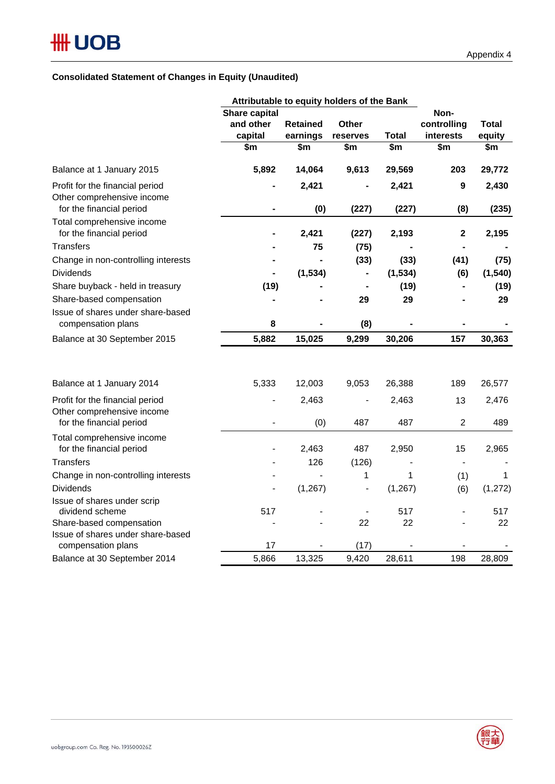### **Consolidated Statement of Changes in Equity (Unaudited)**

|                                                               | Attributable to equity holders of the Bank |                 |                          |                        |                          |             |  |  |  |
|---------------------------------------------------------------|--------------------------------------------|-----------------|--------------------------|------------------------|--------------------------|-------------|--|--|--|
|                                                               | Share capital                              |                 |                          | Non-                   |                          |             |  |  |  |
|                                                               | and other                                  | <b>Retained</b> | <b>Other</b>             |                        | controlling              | Total       |  |  |  |
|                                                               | capital                                    | earnings        | reserves                 | <b>Total</b>           | interests                | equity      |  |  |  |
|                                                               | \$m\$                                      | \$m             | \$m\$                    | $\overline{\text{sm}}$ | \$m                      | \$m\$       |  |  |  |
| Balance at 1 January 2015                                     | 5,892                                      | 14,064          | 9,613                    | 29,569                 | 203                      | 29,772      |  |  |  |
| Profit for the financial period<br>Other comprehensive income |                                            | 2,421           |                          | 2,421                  | 9                        | 2,430       |  |  |  |
| for the financial period                                      |                                            | (0)             | (227)                    | (227)                  | (8)                      | (235)       |  |  |  |
| Total comprehensive income                                    |                                            |                 |                          |                        |                          |             |  |  |  |
| for the financial period                                      |                                            | 2,421           | (227)                    | 2,193                  | $\bf 2$                  | 2,195       |  |  |  |
| Transfers                                                     |                                            | 75              | (75)                     |                        |                          |             |  |  |  |
| Change in non-controlling interests                           |                                            |                 | (33)                     | (33)                   | (41)                     | (75)        |  |  |  |
| <b>Dividends</b>                                              |                                            | (1, 534)        |                          | (1, 534)               | (6)                      | (1, 540)    |  |  |  |
| Share buyback - held in treasury                              | (19)                                       |                 |                          | (19)                   |                          | (19)        |  |  |  |
| Share-based compensation                                      |                                            |                 | 29                       | 29                     |                          | 29          |  |  |  |
| Issue of shares under share-based                             |                                            |                 |                          |                        |                          |             |  |  |  |
| compensation plans                                            | 8                                          |                 | (8)                      |                        |                          |             |  |  |  |
| Balance at 30 September 2015                                  | 5,882                                      | 15,025          | 9,299                    | 30,206                 | 157                      | 30,363      |  |  |  |
|                                                               |                                            |                 |                          |                        |                          |             |  |  |  |
| Balance at 1 January 2014                                     | 5,333                                      | 12,003          | 9,053                    | 26,388                 | 189                      | 26,577      |  |  |  |
| Profit for the financial period                               |                                            | 2,463           |                          | 2,463                  | 13                       | 2,476       |  |  |  |
| Other comprehensive income                                    |                                            |                 |                          |                        |                          |             |  |  |  |
| for the financial period                                      |                                            | (0)             | 487                      | 487                    | $\overline{2}$           | 489         |  |  |  |
| Total comprehensive income                                    |                                            |                 |                          |                        |                          |             |  |  |  |
| for the financial period                                      |                                            | 2,463           | 487                      | 2,950                  | 15                       | 2,965       |  |  |  |
| Transfers                                                     |                                            | 126             | (126)                    |                        | $\overline{\phantom{a}}$ |             |  |  |  |
| Change in non-controlling interests                           |                                            |                 | 1                        | 1                      | (1)                      | $\mathbf 1$ |  |  |  |
| <b>Dividends</b>                                              | $\overline{\phantom{a}}$                   | (1, 267)        | $\overline{\phantom{a}}$ | (1, 267)               | (6)                      | (1, 272)    |  |  |  |
| Issue of shares under scrip<br>dividend scheme                | 517                                        |                 |                          | 517                    |                          | 517         |  |  |  |
| Share-based compensation                                      |                                            |                 | 22                       | 22                     |                          | 22          |  |  |  |
| Issue of shares under share-based                             |                                            |                 |                          |                        |                          |             |  |  |  |
| compensation plans                                            | 17                                         |                 | (17)                     |                        |                          |             |  |  |  |
| Balance at 30 September 2014                                  | 5,866                                      | 13,325          | 9,420                    | 28,611                 | 198                      | 28,809      |  |  |  |

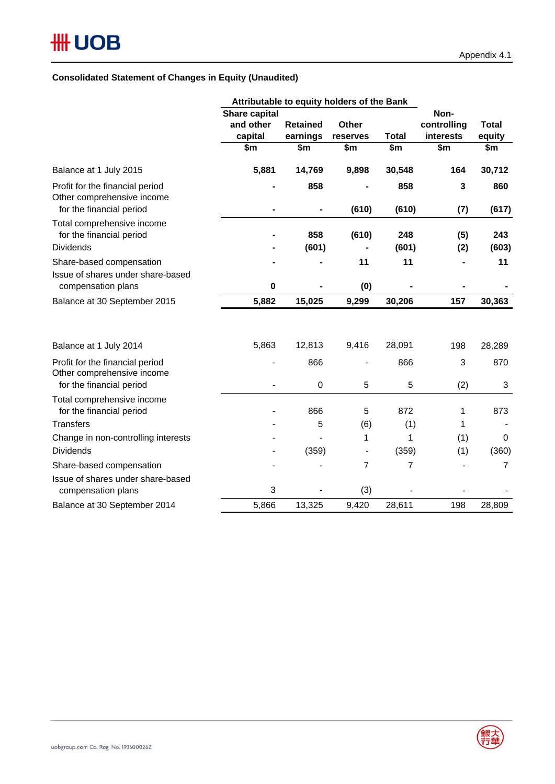## **Consolidated Statement of Changes in Equity (Unaudited)**

|                                                               | Attributable to equity holders of the Bank |                  |                          |              |                     |                |
|---------------------------------------------------------------|--------------------------------------------|------------------|--------------------------|--------------|---------------------|----------------|
|                                                               | Share capital<br>and other                 | <b>Retained</b>  | <b>Other</b>             |              | Non-<br>controlling | <b>Total</b>   |
|                                                               | capital                                    | earnings         | reserves                 | <b>Total</b> | interests           | equity         |
|                                                               | \$m                                        | \$m              | \$m                      | \$m          | \$m                 | \$m            |
| Balance at 1 July 2015                                        | 5,881                                      | 14,769           | 9,898                    | 30,548       | 164                 | 30,712         |
| Profit for the financial period<br>Other comprehensive income |                                            | 858              |                          | 858          | 3                   | 860            |
| for the financial period                                      |                                            |                  | (610)                    | (610)        | (7)                 | (617)          |
| Total comprehensive income<br>for the financial period        |                                            | 858              | (610)                    | 248          | (5)                 | 243            |
| <b>Dividends</b>                                              |                                            | (601)            |                          | (601)        | (2)                 | (603)          |
| Share-based compensation                                      |                                            |                  | 11                       | 11           |                     | 11             |
| Issue of shares under share-based                             |                                            |                  |                          |              |                     |                |
| compensation plans                                            | 0                                          |                  | (0)                      |              |                     |                |
| Balance at 30 September 2015                                  | 5,882                                      | 15,025           | 9,299                    | 30,206       | 157                 | 30,363         |
| Balance at 1 July 2014                                        | 5,863                                      | 12,813           | 9,416                    | 28,091       | 198                 | 28,289         |
| Profit for the financial period                               |                                            | 866              |                          | 866          | 3                   | 870            |
| Other comprehensive income<br>for the financial period        |                                            | $\boldsymbol{0}$ | 5                        | 5            | (2)                 | $\sqrt{3}$     |
| Total comprehensive income<br>for the financial period        |                                            | 866              | 5                        | 872          | 1                   | 873            |
| <b>Transfers</b>                                              |                                            | 5                | (6)                      | (1)          | 1                   |                |
| Change in non-controlling interests                           |                                            |                  | 1                        | 1            | (1)                 | 0              |
| <b>Dividends</b>                                              |                                            | (359)            | $\overline{\phantom{a}}$ | (359)        | (1)                 | (360)          |
| Share-based compensation                                      |                                            |                  | 7                        | 7            |                     | $\overline{7}$ |
| Issue of shares under share-based<br>compensation plans       | 3                                          |                  | (3)                      |              |                     |                |
| Balance at 30 September 2014                                  | 5,866                                      | 13,325           | 9,420                    | 28,611       | 198                 | 28,809         |

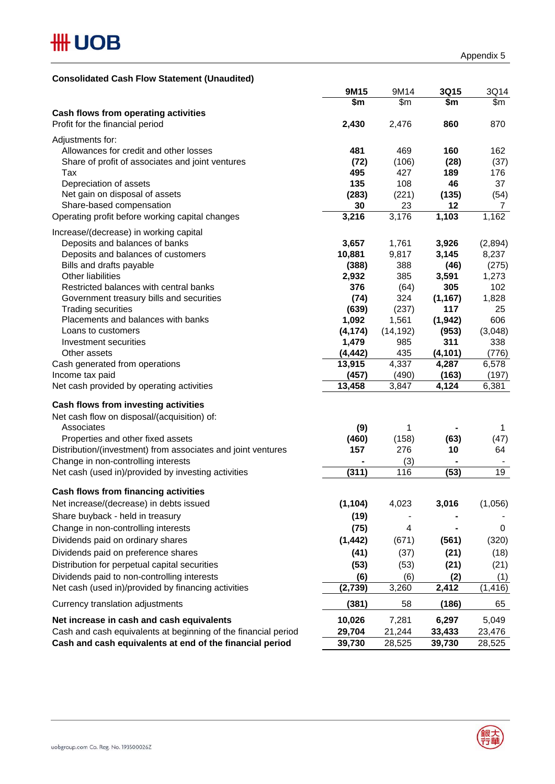### **Consolidated Cash Flow Statement (Unaudited)**

|                                                                | 9M15     | 9M14          | 3Q15          | 3Q14     |
|----------------------------------------------------------------|----------|---------------|---------------|----------|
|                                                                | \$m      | $\mathsf{Sm}$ | $\frac{2}{3}$ | \$m      |
| Cash flows from operating activities                           |          |               |               |          |
| Profit for the financial period                                | 2,430    | 2,476         | 860           | 870      |
| Adjustments for:                                               |          |               |               |          |
| Allowances for credit and other losses                         | 481      | 469           | 160           | 162      |
| Share of profit of associates and joint ventures               | (72)     | (106)         | (28)          | (37)     |
| Tax                                                            | 495      | 427           | 189           | 176      |
| Depreciation of assets                                         | 135      | 108           | 46            | 37       |
| Net gain on disposal of assets                                 | (283)    | (221)         | (135)         | (54)     |
| Share-based compensation                                       | 30       | 23            | 12            | 7        |
| Operating profit before working capital changes                | 3,216    | 3,176         | 1,103         | 1,162    |
|                                                                |          |               |               |          |
| Increase/(decrease) in working capital                         |          |               |               |          |
| Deposits and balances of banks                                 | 3,657    | 1,761         | 3,926         | (2,894)  |
| Deposits and balances of customers                             | 10,881   | 9,817         | 3,145         | 8,237    |
| Bills and drafts payable                                       | (388)    | 388           | (46)          | (275)    |
| Other liabilities                                              | 2,932    | 385           | 3,591         | 1,273    |
| Restricted balances with central banks                         | 376      | (64)          | 305           | 102      |
| Government treasury bills and securities                       | (74)     | 324           | (1, 167)      | 1,828    |
| <b>Trading securities</b>                                      | (639)    | (237)         | 117           | 25       |
| Placements and balances with banks                             | 1,092    | 1,561         | (1, 942)      | 606      |
| Loans to customers                                             | (4, 174) | (14, 192)     | (953)         | (3,048)  |
| Investment securities                                          | 1,479    | 985           | 311           | 338      |
| Other assets                                                   | (4, 442) | 435           | (4, 101)      | (776)    |
| Cash generated from operations                                 | 13,915   | 4,337         | 4,287         | 6,578    |
| Income tax paid                                                | (457)    | (490)         | (163)         | (197)    |
| Net cash provided by operating activities                      | 13,458   | 3,847         | 4,124         | 6,381    |
| Cash flows from investing activities                           |          |               |               |          |
| Net cash flow on disposal/(acquisition) of:                    |          |               |               |          |
| Associates                                                     | (9)      | 1             |               | 1        |
| Properties and other fixed assets                              | (460)    | (158)         | (63)          | (47)     |
| Distribution/(investment) from associates and joint ventures   | 157      | 276           | 10            | 64       |
| Change in non-controlling interests                            |          | (3)           |               |          |
| Net cash (used in)/provided by investing activities            | (311)    | 116           | (53)          | 19       |
|                                                                |          |               |               |          |
| Cash flows from financing activities                           |          |               |               |          |
| Net increase/(decrease) in debts issued                        | (1, 104) | 4,023         | 3,016         | (1,056)  |
| Share buyback - held in treasury                               | (19)     |               |               |          |
| Change in non-controlling interests                            | (75)     | 4             |               | 0        |
|                                                                |          |               |               |          |
| Dividends paid on ordinary shares                              | (1, 442) | (671)         | (561)         | (320)    |
| Dividends paid on preference shares                            | (41)     | (37)          | (21)          | (18)     |
| Distribution for perpetual capital securities                  | (53)     | (53)          | (21)          | (21)     |
| Dividends paid to non-controlling interests                    | (6)      | (6)           | (2)           | (1)      |
| Net cash (used in)/provided by financing activities            | (2,739)  | 3,260         | 2,412         | (1, 416) |
| Currency translation adjustments                               | (381)    | 58            | (186)         | 65       |
| Net increase in cash and cash equivalents                      | 10,026   | 7,281         | 6,297         | 5,049    |
| Cash and cash equivalents at beginning of the financial period | 29,704   | 21,244        | 33,433        | 23,476   |
| Cash and cash equivalents at end of the financial period       | 39,730   | 28,525        | 39,730        | 28,525   |
|                                                                |          |               |               |          |

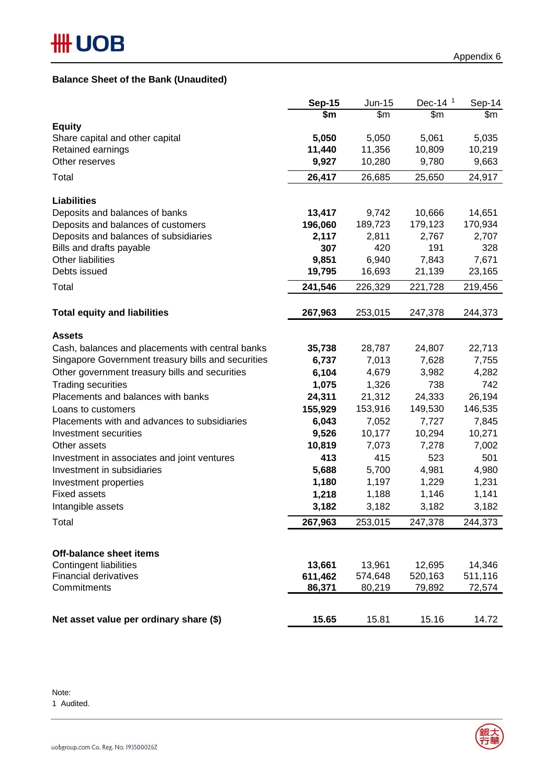## **Balance Sheet of the Bank (Unaudited)**

|                                                    | <b>Sep-15</b> | Jun-15           | Dec-14 $1$       | Sep-14  |
|----------------------------------------------------|---------------|------------------|------------------|---------|
|                                                    | \$m           | $\overline{\$m}$ | $\overline{\$m}$ | \$m     |
| <b>Equity</b>                                      |               |                  |                  |         |
| Share capital and other capital                    | 5,050         | 5,050            | 5,061            | 5,035   |
| Retained earnings                                  | 11,440        | 11,356           | 10,809           | 10,219  |
| Other reserves                                     | 9,927         | 10,280           | 9,780            | 9,663   |
| Total                                              | 26,417        | 26,685           | 25,650           | 24,917  |
| <b>Liabilities</b>                                 |               |                  |                  |         |
| Deposits and balances of banks                     | 13,417        | 9,742            | 10,666           | 14,651  |
| Deposits and balances of customers                 | 196,060       | 189,723          | 179,123          | 170,934 |
| Deposits and balances of subsidiaries              | 2,117         | 2,811            | 2,767            | 2,707   |
| Bills and drafts payable                           | 307           | 420              | 191              | 328     |
| <b>Other liabilities</b>                           | 9,851         | 6,940            | 7,843            | 7,671   |
| Debts issued                                       | 19,795        | 16,693           | 21,139           | 23,165  |
| Total                                              | 241,546       | 226,329          | 221,728          | 219,456 |
| <b>Total equity and liabilities</b>                | 267,963       | 253,015          | 247,378          | 244,373 |
| <b>Assets</b>                                      |               |                  |                  |         |
| Cash, balances and placements with central banks   | 35,738        | 28,787           | 24,807           | 22,713  |
| Singapore Government treasury bills and securities | 6,737         | 7,013            | 7,628            | 7,755   |
| Other government treasury bills and securities     | 6,104         | 4,679            | 3,982            | 4,282   |
| <b>Trading securities</b>                          | 1,075         | 1,326            | 738              | 742     |
| Placements and balances with banks                 | 24,311        | 21,312           | 24,333           | 26,194  |
| Loans to customers                                 | 155,929       | 153,916          | 149,530          | 146,535 |
| Placements with and advances to subsidiaries       | 6,043         | 7,052            | 7,727            | 7,845   |
| Investment securities                              | 9,526         | 10,177           | 10,294           | 10,271  |
| Other assets                                       | 10,819        | 7,073            | 7,278            | 7,002   |
| Investment in associates and joint ventures        | 413           | 415              | 523              | 501     |
| Investment in subsidiaries                         | 5,688         | 5,700            | 4,981            | 4,980   |
| Investment properties                              | 1,180         | 1,197            | 1,229            | 1,231   |
| <b>Fixed assets</b>                                | 1,218         | 1,188            | 1,146            | 1,141   |
| Intangible assets                                  | 3,182         | 3,182            | 3,182            | 3,182   |
| Total                                              | 267,963       | 253,015          | 247,378          | 244,373 |
| <b>Off-balance sheet items</b>                     |               |                  |                  |         |
| <b>Contingent liabilities</b>                      | 13,661        | 13,961           | 12,695           | 14,346  |
| <b>Financial derivatives</b>                       | 611,462       | 574,648          | 520,163          | 511,116 |
| Commitments                                        | 86,371        | 80,219           | 79,892           | 72,574  |
|                                                    |               |                  |                  |         |
| Net asset value per ordinary share (\$)            | 15.65         | 15.81            | 15.16            | 14.72   |

Note: 1 Audited.

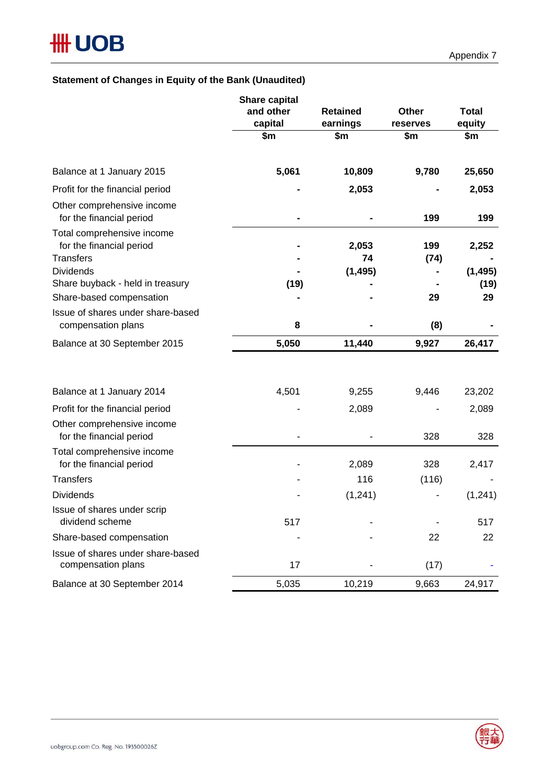## **Statement of Changes in Equity of the Bank (Unaudited)**

|                                                                            | <b>Share capital</b><br>and other<br>capital | <b>Retained</b><br>earnings | <b>Other</b><br>reserves | <b>Total</b><br>equity |
|----------------------------------------------------------------------------|----------------------------------------------|-----------------------------|--------------------------|------------------------|
|                                                                            | \$m\$                                        | \$m                         | \$m                      | \$m                    |
| Balance at 1 January 2015                                                  | 5,061                                        | 10,809                      | 9,780                    | 25,650                 |
| Profit for the financial period                                            |                                              | 2,053                       |                          | 2,053                  |
| Other comprehensive income<br>for the financial period                     |                                              |                             | 199                      | 199                    |
| Total comprehensive income<br>for the financial period<br><b>Transfers</b> |                                              | 2,053<br>74                 | 199<br>(74)              | 2,252                  |
| <b>Dividends</b>                                                           |                                              | (1, 495)                    |                          | (1, 495)               |
| Share buyback - held in treasury<br>Share-based compensation               | (19)                                         |                             | 29                       | (19)<br>29             |
| Issue of shares under share-based                                          |                                              |                             |                          |                        |
| compensation plans                                                         | 8                                            |                             | (8)                      |                        |
| Balance at 30 September 2015                                               | 5,050                                        | 11,440                      | 9,927                    | 26,417                 |
|                                                                            |                                              |                             |                          |                        |
| Balance at 1 January 2014                                                  | 4,501                                        | 9,255                       | 9,446                    | 23,202                 |
| Profit for the financial period                                            |                                              | 2,089                       |                          | 2,089                  |
| Other comprehensive income<br>for the financial period                     |                                              |                             | 328                      | 328                    |
| Total comprehensive income<br>for the financial period                     |                                              | 2,089                       | 328                      | 2,417                  |
| <b>Transfers</b>                                                           |                                              | 116                         | (116)                    |                        |
| <b>Dividends</b>                                                           |                                              | (1, 241)                    |                          | (1, 241)               |
| Issue of shares under scrip<br>dividend scheme                             | 517                                          |                             |                          | 517                    |
| Share-based compensation                                                   |                                              |                             | 22                       | 22                     |
| Issue of shares under share-based<br>compensation plans                    | 17                                           |                             | (17)                     |                        |
| Balance at 30 September 2014                                               | 5,035                                        | 10,219                      | 9,663                    | 24,917                 |

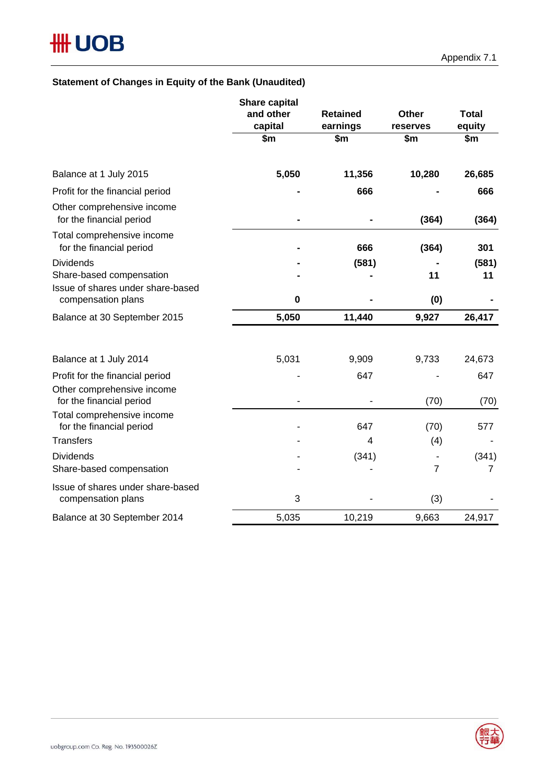# **Statement of Changes in Equity of the Bank (Unaudited)**

|                                                         | <b>Share capital</b><br>and other<br>capital | <b>Retained</b><br>earnings | <b>Other</b><br>reserves | <b>Total</b><br>equity |  |
|---------------------------------------------------------|----------------------------------------------|-----------------------------|--------------------------|------------------------|--|
|                                                         | \$m                                          | \$m                         | \$m                      | \$m                    |  |
| Balance at 1 July 2015                                  | 5,050                                        | 11,356                      | 10,280                   | 26,685                 |  |
| Profit for the financial period                         |                                              | 666                         |                          | 666                    |  |
| Other comprehensive income<br>for the financial period  |                                              |                             | (364)                    | (364)                  |  |
| Total comprehensive income<br>for the financial period  |                                              | 666                         | (364)                    | 301                    |  |
| <b>Dividends</b>                                        |                                              | (581)                       |                          | (581)                  |  |
| Share-based compensation                                |                                              |                             | 11                       | 11                     |  |
| Issue of shares under share-based<br>compensation plans | 0                                            |                             | (0)                      |                        |  |
| Balance at 30 September 2015                            | 5,050                                        | 11,440                      | 9,927                    | 26,417                 |  |
|                                                         |                                              |                             |                          |                        |  |
| Balance at 1 July 2014                                  | 5,031                                        | 9,909                       | 9,733                    | 24,673                 |  |
| Profit for the financial period                         |                                              | 647                         |                          | 647                    |  |
| Other comprehensive income<br>for the financial period  |                                              |                             | (70)                     | (70)                   |  |
| Total comprehensive income<br>for the financial period  |                                              | 647                         | (70)                     | 577                    |  |
| <b>Transfers</b>                                        |                                              | $\overline{4}$              | (4)                      |                        |  |
| <b>Dividends</b>                                        |                                              | (341)                       |                          | (341)                  |  |
| Share-based compensation                                |                                              |                             | $\overline{7}$           | 7                      |  |
| Issue of shares under share-based<br>compensation plans | 3                                            |                             | (3)                      |                        |  |
| Balance at 30 September 2014                            | 5,035                                        | 10,219                      | 9,663                    | 24,917                 |  |